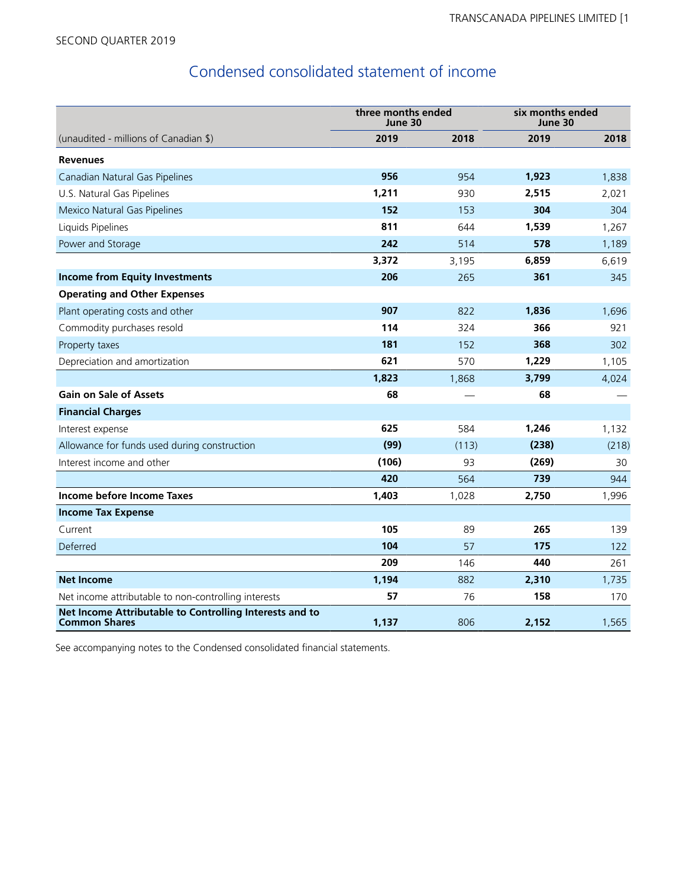# Condensed consolidated statement of income

|                                                                                 | three months ended<br>June 30 |       | six months ended<br>June 30 |       |  |
|---------------------------------------------------------------------------------|-------------------------------|-------|-----------------------------|-------|--|
| (unaudited - millions of Canadian \$)                                           | 2019                          | 2018  | 2019                        | 2018  |  |
| <b>Revenues</b>                                                                 |                               |       |                             |       |  |
| Canadian Natural Gas Pipelines                                                  | 956                           | 954   | 1,923                       | 1,838 |  |
| U.S. Natural Gas Pipelines                                                      | 1,211                         | 930   | 2,515                       | 2,021 |  |
| Mexico Natural Gas Pipelines                                                    | 152                           | 153   | 304                         | 304   |  |
| Liquids Pipelines                                                               | 811                           | 644   | 1,539                       | 1,267 |  |
| Power and Storage                                                               | 242                           | 514   | 578                         | 1,189 |  |
|                                                                                 | 3,372                         | 3,195 | 6,859                       | 6,619 |  |
| <b>Income from Equity Investments</b>                                           | 206                           | 265   | 361                         | 345   |  |
| <b>Operating and Other Expenses</b>                                             |                               |       |                             |       |  |
| Plant operating costs and other                                                 | 907                           | 822   | 1,836                       | 1,696 |  |
| Commodity purchases resold                                                      | 114                           | 324   | 366                         | 921   |  |
| Property taxes                                                                  | 181                           | 152   | 368                         | 302   |  |
| Depreciation and amortization                                                   | 621                           | 570   | 1,229                       | 1,105 |  |
|                                                                                 | 1,823                         | 1,868 | 3,799                       | 4,024 |  |
| <b>Gain on Sale of Assets</b>                                                   | 68                            |       | 68                          |       |  |
| <b>Financial Charges</b>                                                        |                               |       |                             |       |  |
| Interest expense                                                                | 625                           | 584   | 1,246                       | 1,132 |  |
| Allowance for funds used during construction                                    | (99)                          | (113) | (238)                       | (218) |  |
| Interest income and other                                                       | (106)                         | 93    | (269)                       | 30    |  |
|                                                                                 | 420                           | 564   | 739                         | 944   |  |
| Income before Income Taxes                                                      | 1,403                         | 1,028 | 2,750                       | 1,996 |  |
| <b>Income Tax Expense</b>                                                       |                               |       |                             |       |  |
| Current                                                                         | 105                           | 89    | 265                         | 139   |  |
| Deferred                                                                        | 104                           | 57    | 175                         | 122   |  |
|                                                                                 | 209                           | 146   | 440                         | 261   |  |
| <b>Net Income</b>                                                               | 1,194                         | 882   | 2,310                       | 1,735 |  |
| Net income attributable to non-controlling interests                            | 57                            | 76    | 158                         | 170   |  |
| Net Income Attributable to Controlling Interests and to<br><b>Common Shares</b> | 1,137                         | 806   | 2,152                       | 1,565 |  |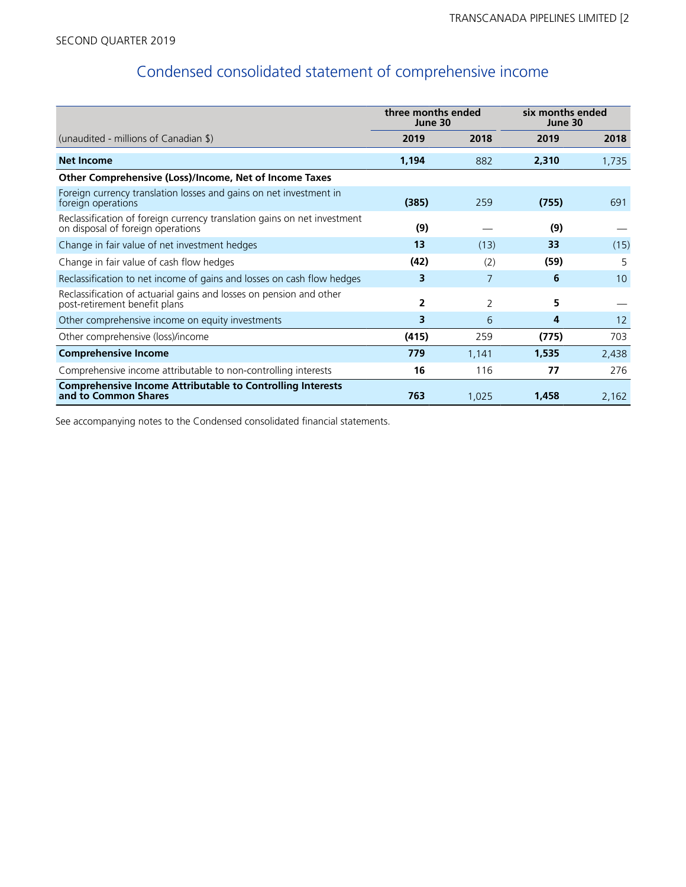# Condensed consolidated statement of comprehensive income

|                                                                                                               | three months ended<br>June 30 |                | six months ended<br>June 30 |                 |
|---------------------------------------------------------------------------------------------------------------|-------------------------------|----------------|-----------------------------|-----------------|
| (unaudited - millions of Canadian $\frac{1}{2}$ )                                                             | 2019                          | 2018           | 2019                        | 2018            |
| <b>Net Income</b>                                                                                             | 1,194                         | 882            | 2,310                       | 1,735           |
| Other Comprehensive (Loss)/Income, Net of Income Taxes                                                        |                               |                |                             |                 |
| Foreign currency translation losses and gains on net investment in<br>foreign operations                      | (385)                         | 259            | (755)                       | 691             |
| Reclassification of foreign currency translation gains on net investment<br>on disposal of foreign operations | (9)                           |                | (9)                         |                 |
| Change in fair value of net investment hedges                                                                 | 13                            | (13)           | 33                          | (15)            |
| Change in fair value of cash flow hedges                                                                      | (42)                          | (2)            | (59)                        | 5               |
| Reclassification to net income of gains and losses on cash flow hedges                                        | 3                             | 7              | 6                           | 10 <sup>°</sup> |
| Reclassification of actuarial gains and losses on pension and other<br>post-retirement benefit plans          | 2                             | $\overline{2}$ | 5                           |                 |
| Other comprehensive income on equity investments                                                              | 3                             | 6              | 4                           | 12              |
| Other comprehensive (loss)/income                                                                             | (415)                         | 259            | (775)                       | 703             |
| <b>Comprehensive Income</b>                                                                                   | 779                           | 1,141          | 1,535                       | 2,438           |
| Comprehensive income attributable to non-controlling interests                                                | 16                            | 116            | 77                          | 276             |
| <b>Comprehensive Income Attributable to Controlling Interests</b><br>and to Common Shares                     | 763                           | 1,025          | 1,458                       | 2,162           |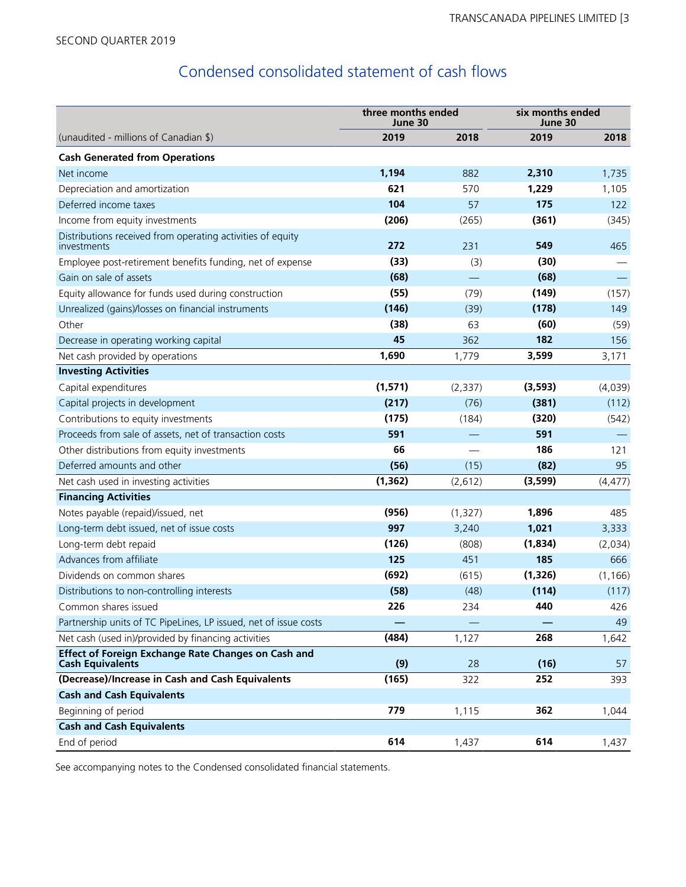# Condensed consolidated statement of cash flows

|                                                                                       | three months ended<br>June 30 |          | six months ended<br>June 30 |          |  |
|---------------------------------------------------------------------------------------|-------------------------------|----------|-----------------------------|----------|--|
| (unaudited - millions of Canadian \$)                                                 | 2019                          | 2018     | 2019                        | 2018     |  |
| <b>Cash Generated from Operations</b>                                                 |                               |          |                             |          |  |
| Net income                                                                            | 1,194                         | 882      | 2,310                       | 1,735    |  |
| Depreciation and amortization                                                         | 621                           | 570      | 1,229                       | 1,105    |  |
| Deferred income taxes                                                                 | 104                           | 57       | 175                         | 122      |  |
| Income from equity investments                                                        | (206)                         | (265)    | (361)                       | (345)    |  |
| Distributions received from operating activities of equity<br>investments             | 272                           | 231      | 549                         | 465      |  |
| Employee post-retirement benefits funding, net of expense                             | (33)                          | (3)      | (30)                        |          |  |
| Gain on sale of assets                                                                | (68)                          |          | (68)                        |          |  |
| Equity allowance for funds used during construction                                   | (55)                          | (79)     | (149)                       | (157)    |  |
| Unrealized (gains)/losses on financial instruments                                    | (146)                         | (39)     | (178)                       | 149      |  |
| Other                                                                                 | (38)                          | 63       | (60)                        | (59)     |  |
| Decrease in operating working capital                                                 | 45                            | 362      | 182                         | 156      |  |
| Net cash provided by operations                                                       | 1,690                         | 1,779    | 3,599                       | 3,171    |  |
| <b>Investing Activities</b>                                                           |                               |          |                             |          |  |
| Capital expenditures                                                                  | (1, 571)                      | (2, 337) | (3, 593)                    | (4,039)  |  |
| Capital projects in development                                                       | (217)                         | (76)     | (381)                       | (112)    |  |
| Contributions to equity investments                                                   | (175)                         | (184)    | (320)                       | (542)    |  |
| Proceeds from sale of assets, net of transaction costs                                | 591                           |          | 591                         |          |  |
| Other distributions from equity investments                                           | 66                            |          | 186                         | 121      |  |
| Deferred amounts and other                                                            | (56)                          | (15)     | (82)                        | 95       |  |
| Net cash used in investing activities                                                 | (1, 362)                      | (2,612)  | (3,599)                     | (4, 477) |  |
| <b>Financing Activities</b>                                                           |                               |          |                             |          |  |
| Notes payable (repaid)/issued, net                                                    | (956)                         | (1,327)  | 1,896                       | 485      |  |
| Long-term debt issued, net of issue costs                                             | 997                           | 3,240    | 1,021                       | 3,333    |  |
| Long-term debt repaid                                                                 | (126)                         | (808)    | (1,834)                     | (2,034)  |  |
| Advances from affiliate                                                               | 125                           | 451      | 185                         | 666      |  |
| Dividends on common shares                                                            | (692)                         | (615)    | (1, 326)                    | (1, 166) |  |
| Distributions to non-controlling interests                                            | (58)                          | (48)     | (114)                       | (117)    |  |
| Common shares issued                                                                  | 226                           | 234      | 440                         | 426      |  |
| Partnership units of TC PipeLines, LP issued, net of issue costs                      |                               |          |                             | 49       |  |
| Net cash (used in)/provided by financing activities                                   | (484)                         | 1,127    | 268                         | 1,642    |  |
| <b>Effect of Foreign Exchange Rate Changes on Cash and</b><br><b>Cash Equivalents</b> | (9)                           | 28       | (16)                        | 57       |  |
| (Decrease)/Increase in Cash and Cash Equivalents                                      | (165)                         | 322      | 252                         | 393      |  |
| <b>Cash and Cash Equivalents</b>                                                      |                               |          |                             |          |  |
| Beginning of period                                                                   | 779                           | 1,115    | 362                         | 1,044    |  |
| <b>Cash and Cash Equivalents</b>                                                      |                               |          |                             |          |  |
| End of period                                                                         | 614                           | 1,437    | 614                         | 1,437    |  |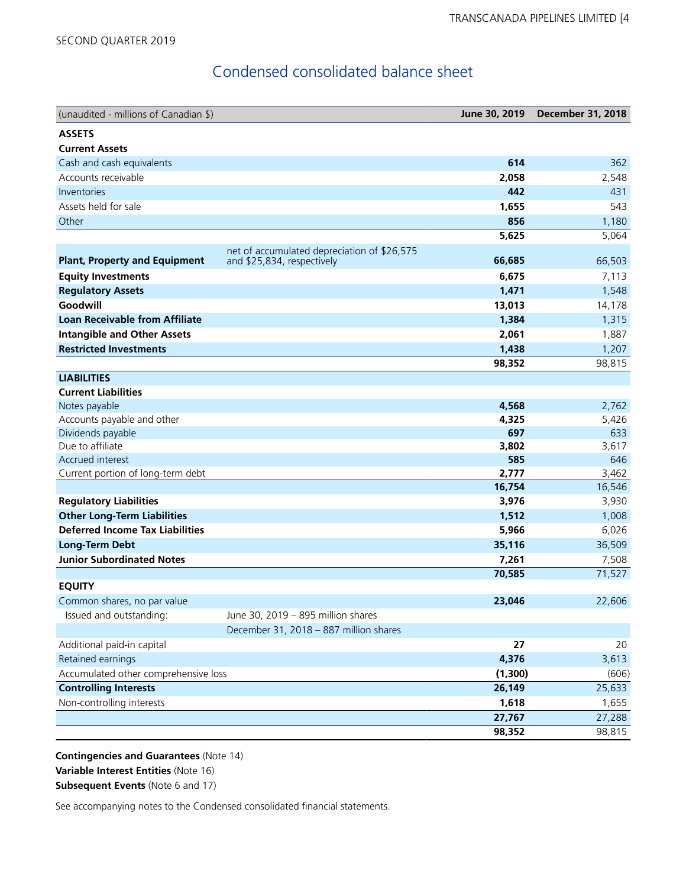# Condensed consolidated balance sheet

| (unaudited - millions of Canadian \$)                                        |                                                                           | June 30, 2019 | <b>December 31, 2018</b> |
|------------------------------------------------------------------------------|---------------------------------------------------------------------------|---------------|--------------------------|
| <b>ASSETS</b>                                                                |                                                                           |               |                          |
| <b>Current Assets</b>                                                        |                                                                           |               |                          |
| Cash and cash equivalents                                                    |                                                                           | 614           | 362                      |
| Accounts receivable                                                          |                                                                           | 2,058         | 2,548                    |
| Inventories                                                                  |                                                                           | 442           | 431                      |
| Assets held for sale                                                         |                                                                           | 1,655         | 543                      |
| Other                                                                        |                                                                           | 856           | 1,180                    |
|                                                                              |                                                                           | 5,625         | 5,064                    |
| <b>Plant, Property and Equipment</b>                                         | net of accumulated depreciation of \$26,575<br>and \$25,834, respectively | 66,685        | 66,503                   |
| <b>Equity Investments</b>                                                    |                                                                           | 6,675         | 7,113                    |
| <b>Regulatory Assets</b>                                                     |                                                                           | 1,471         | 1,548                    |
| Goodwill                                                                     |                                                                           | 13,013        | 14,178                   |
| <b>Loan Receivable from Affiliate</b>                                        |                                                                           | 1,384         | 1,315                    |
| <b>Intangible and Other Assets</b>                                           |                                                                           | 2,061         | 1,887                    |
| <b>Restricted Investments</b>                                                |                                                                           | 1,438         | 1,207                    |
|                                                                              |                                                                           | 98,352        | 98,815                   |
| <b>LIABILITIES</b>                                                           |                                                                           |               |                          |
| <b>Current Liabilities</b>                                                   |                                                                           |               |                          |
| Notes payable                                                                |                                                                           | 4,568         | 2,762                    |
| Accounts payable and other                                                   |                                                                           | 4,325         | 5,426                    |
| Dividends payable                                                            |                                                                           | 697           | 633                      |
| Due to affiliate                                                             |                                                                           | 3,802         | 3,617                    |
| Accrued interest                                                             |                                                                           | 585           | 646                      |
| Current portion of long-term debt                                            |                                                                           | 2,777         | 3,462                    |
|                                                                              |                                                                           | 16,754        | 16,546                   |
| <b>Regulatory Liabilities</b>                                                |                                                                           | 3,976         | 3,930                    |
| <b>Other Long-Term Liabilities</b><br><b>Deferred Income Tax Liabilities</b> |                                                                           | 1,512         | 1,008                    |
|                                                                              |                                                                           | 5,966         | 6,026                    |
| <b>Long-Term Debt</b>                                                        |                                                                           | 35,116        | 36,509                   |
| <b>Junior Subordinated Notes</b>                                             |                                                                           | 7,261         | 7,508<br>71,527          |
| <b>EQUITY</b>                                                                |                                                                           | 70,585        |                          |
| Common shares, no par value                                                  |                                                                           | 23,046        | 22,606                   |
| Issued and outstanding:                                                      | June 30, 2019 - 895 million shares                                        |               |                          |
|                                                                              | December 31, 2018 - 887 million shares                                    |               |                          |
| Additional paid-in capital                                                   |                                                                           | 27            | 20                       |
| Retained earnings                                                            |                                                                           | 4,376         | 3,613                    |
| Accumulated other comprehensive loss                                         |                                                                           | (1,300)       | (606)                    |
| <b>Controlling Interests</b>                                                 |                                                                           | 26,149        | 25,633                   |
| Non-controlling interests                                                    |                                                                           | 1,618         | 1,655                    |
|                                                                              |                                                                           | 27,767        | 27,288                   |
|                                                                              |                                                                           | 98,352        | 98,815                   |

**Contingencies and Guarantees** (Note 14) **Variable Interest Entities** (Note 16) **Subsequent Events** (Note 6 and 17)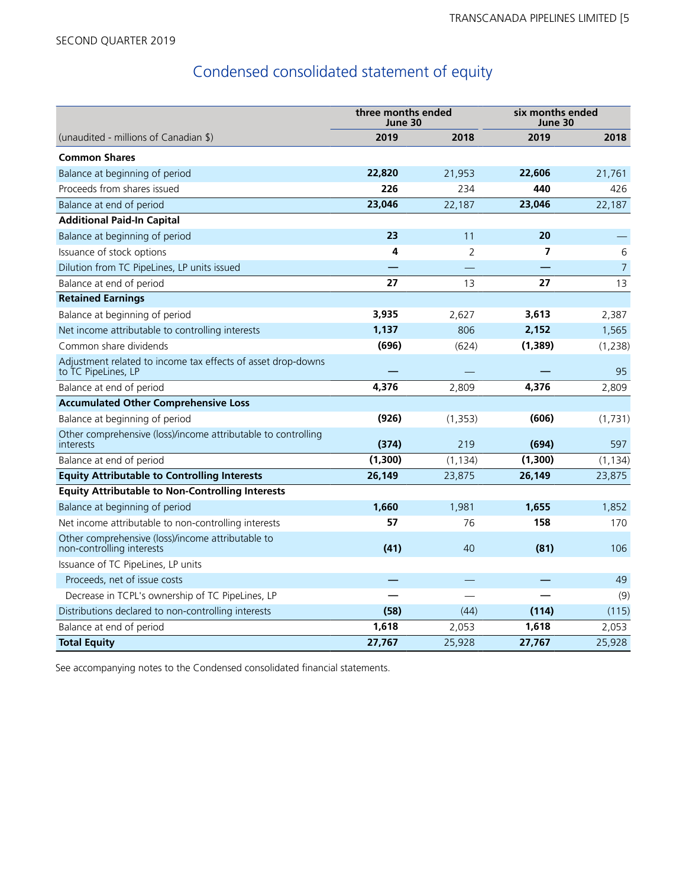# Condensed consolidated statement of equity

|                                                                                     | three months ended<br>June 30 |                | six months ended<br>June 30 |                |  |
|-------------------------------------------------------------------------------------|-------------------------------|----------------|-----------------------------|----------------|--|
| (unaudited - millions of Canadian \$)                                               | 2019                          | 2018           | 2019                        | 2018           |  |
| <b>Common Shares</b>                                                                |                               |                |                             |                |  |
| Balance at beginning of period                                                      | 22,820                        | 21,953         | 22,606                      | 21,761         |  |
| Proceeds from shares issued                                                         | 226                           | 234            | 440                         | 426            |  |
| Balance at end of period                                                            | 23,046                        | 22,187         | 23,046                      | 22,187         |  |
| <b>Additional Paid-In Capital</b>                                                   |                               |                |                             |                |  |
| Balance at beginning of period                                                      | 23                            | 11             | 20                          |                |  |
| Issuance of stock options                                                           | 4                             | $\overline{2}$ | 7                           | 6              |  |
| Dilution from TC PipeLines, LP units issued                                         |                               |                |                             | $\overline{7}$ |  |
| Balance at end of period                                                            | 27                            | 13             | 27                          | 13             |  |
| <b>Retained Earnings</b>                                                            |                               |                |                             |                |  |
| Balance at beginning of period                                                      | 3,935                         | 2,627          | 3,613                       | 2,387          |  |
| Net income attributable to controlling interests                                    | 1,137                         | 806            | 2,152                       | 1,565          |  |
| Common share dividends                                                              | (696)                         | (624)          | (1, 389)                    | (1, 238)       |  |
| Adjustment related to income tax effects of asset drop-downs<br>to TC PipeLines, LP |                               |                |                             | 95             |  |
| Balance at end of period                                                            | 4,376                         | 2,809          | 4,376                       | 2,809          |  |
| <b>Accumulated Other Comprehensive Loss</b>                                         |                               |                |                             |                |  |
| Balance at beginning of period                                                      | (926)                         | (1, 353)       | (606)                       | (1,731)        |  |
| Other comprehensive (loss)/income attributable to controlling<br>interests          | (374)                         | 219            | (694)                       | 597            |  |
| Balance at end of period                                                            | (1, 300)                      | (1, 134)       | (1,300)                     | (1, 134)       |  |
| <b>Equity Attributable to Controlling Interests</b>                                 | 26,149                        | 23,875         | 26,149                      | 23,875         |  |
| <b>Equity Attributable to Non-Controlling Interests</b>                             |                               |                |                             |                |  |
| Balance at beginning of period                                                      | 1,660                         | 1,981          | 1,655                       | 1,852          |  |
| Net income attributable to non-controlling interests                                | 57                            | 76             | 158                         | 170            |  |
| Other comprehensive (loss)/income attributable to<br>non-controlling interests      | (41)                          | 40             | (81)                        | 106            |  |
| Issuance of TC PipeLines, LP units                                                  |                               |                |                             |                |  |
| Proceeds, net of issue costs                                                        |                               |                |                             | 49             |  |
| Decrease in TCPL's ownership of TC PipeLines, LP                                    |                               |                |                             | (9)            |  |
| Distributions declared to non-controlling interests                                 | (58)                          | (44)           | (114)                       | (115)          |  |
| Balance at end of period                                                            | 1,618                         | 2,053          | 1,618                       | 2,053          |  |
| <b>Total Equity</b>                                                                 | 27,767                        | 25,928         | 27,767                      | 25,928         |  |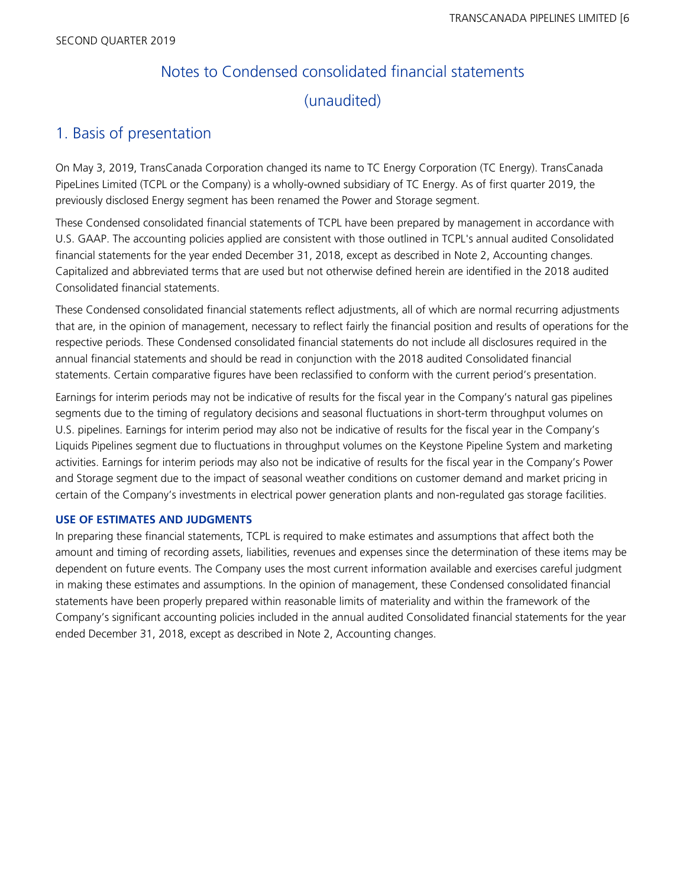# Notes to Condensed consolidated financial statements (unaudited)

# 1. Basis of presentation

On May 3, 2019, TransCanada Corporation changed its name to TC Energy Corporation (TC Energy). TransCanada PipeLines Limited (TCPL or the Company) is a wholly-owned subsidiary of TC Energy. As of first quarter 2019, the previously disclosed Energy segment has been renamed the Power and Storage segment.

These Condensed consolidated financial statements of TCPL have been prepared by management in accordance with U.S. GAAP. The accounting policies applied are consistent with those outlined in TCPL's annual audited Consolidated financial statements for the year ended December 31, 2018, except as described in Note 2, Accounting changes. Capitalized and abbreviated terms that are used but not otherwise defined herein are identified in the 2018 audited Consolidated financial statements.

These Condensed consolidated financial statements reflect adjustments, all of which are normal recurring adjustments that are, in the opinion of management, necessary to reflect fairly the financial position and results of operations for the respective periods. These Condensed consolidated financial statements do not include all disclosures required in the annual financial statements and should be read in conjunction with the 2018 audited Consolidated financial statements. Certain comparative figures have been reclassified to conform with the current period's presentation.

Earnings for interim periods may not be indicative of results for the fiscal year in the Company's natural gas pipelines segments due to the timing of regulatory decisions and seasonal fluctuations in short-term throughput volumes on U.S. pipelines. Earnings for interim period may also not be indicative of results for the fiscal year in the Company's Liquids Pipelines segment due to fluctuations in throughput volumes on the Keystone Pipeline System and marketing activities. Earnings for interim periods may also not be indicative of results for the fiscal year in the Company's Power and Storage segment due to the impact of seasonal weather conditions on customer demand and market pricing in certain of the Company's investments in electrical power generation plants and non-regulated gas storage facilities.

# **USE OF ESTIMATES AND JUDGMENTS**

In preparing these financial statements, TCPL is required to make estimates and assumptions that affect both the amount and timing of recording assets, liabilities, revenues and expenses since the determination of these items may be dependent on future events. The Company uses the most current information available and exercises careful judgment in making these estimates and assumptions. In the opinion of management, these Condensed consolidated financial statements have been properly prepared within reasonable limits of materiality and within the framework of the Company's significant accounting policies included in the annual audited Consolidated financial statements for the year ended December 31, 2018, except as described in Note 2, Accounting changes.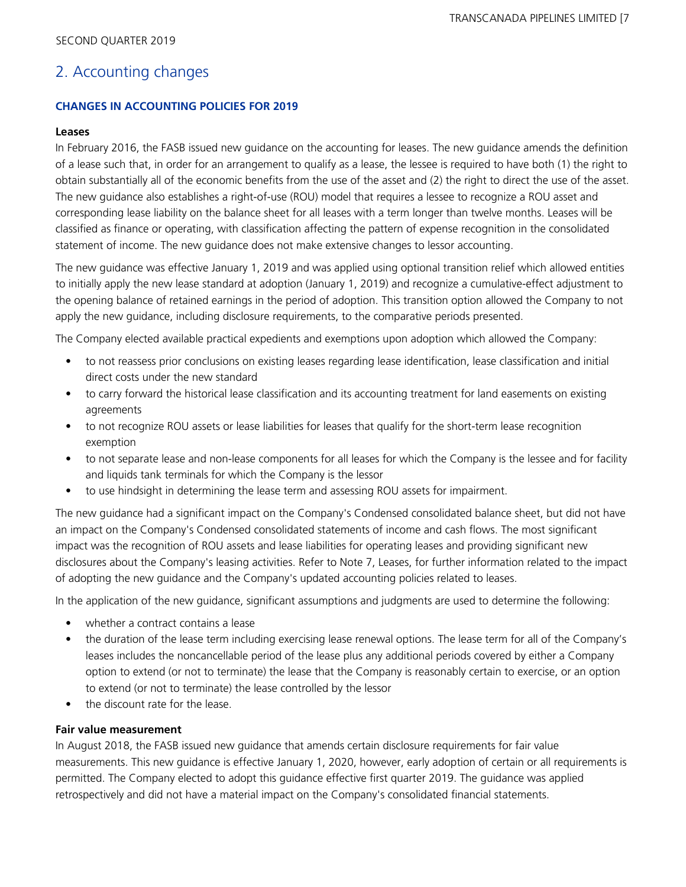# 2. Accounting changes

## **CHANGES IN ACCOUNTING POLICIES FOR 2019**

### **Leases**

In February 2016, the FASB issued new guidance on the accounting for leases. The new guidance amends the definition of a lease such that, in order for an arrangement to qualify as a lease, the lessee is required to have both (1) the right to obtain substantially all of the economic benefits from the use of the asset and (2) the right to direct the use of the asset. The new guidance also establishes a right-of-use (ROU) model that requires a lessee to recognize a ROU asset and corresponding lease liability on the balance sheet for all leases with a term longer than twelve months. Leases will be classified as finance or operating, with classification affecting the pattern of expense recognition in the consolidated statement of income. The new guidance does not make extensive changes to lessor accounting.

The new guidance was effective January 1, 2019 and was applied using optional transition relief which allowed entities to initially apply the new lease standard at adoption (January 1, 2019) and recognize a cumulative-effect adjustment to the opening balance of retained earnings in the period of adoption. This transition option allowed the Company to not apply the new guidance, including disclosure requirements, to the comparative periods presented.

The Company elected available practical expedients and exemptions upon adoption which allowed the Company:

- to not reassess prior conclusions on existing leases regarding lease identification, lease classification and initial direct costs under the new standard
- to carry forward the historical lease classification and its accounting treatment for land easements on existing agreements
- to not recognize ROU assets or lease liabilities for leases that qualify for the short-term lease recognition exemption
- to not separate lease and non-lease components for all leases for which the Company is the lessee and for facility and liquids tank terminals for which the Company is the lessor
- to use hindsight in determining the lease term and assessing ROU assets for impairment.

The new guidance had a significant impact on the Company's Condensed consolidated balance sheet, but did not have an impact on the Company's Condensed consolidated statements of income and cash flows. The most significant impact was the recognition of ROU assets and lease liabilities for operating leases and providing significant new disclosures about the Company's leasing activities. Refer to Note 7, Leases, for further information related to the impact of adopting the new guidance and the Company's updated accounting policies related to leases.

In the application of the new guidance, significant assumptions and judgments are used to determine the following:

- whether a contract contains a lease
- the duration of the lease term including exercising lease renewal options. The lease term for all of the Company's leases includes the noncancellable period of the lease plus any additional periods covered by either a Company option to extend (or not to terminate) the lease that the Company is reasonably certain to exercise, or an option to extend (or not to terminate) the lease controlled by the lessor
- the discount rate for the lease.

### **Fair value measurement**

In August 2018, the FASB issued new guidance that amends certain disclosure requirements for fair value measurements. This new guidance is effective January 1, 2020, however, early adoption of certain or all requirements is permitted. The Company elected to adopt this guidance effective first quarter 2019. The guidance was applied retrospectively and did not have a material impact on the Company's consolidated financial statements.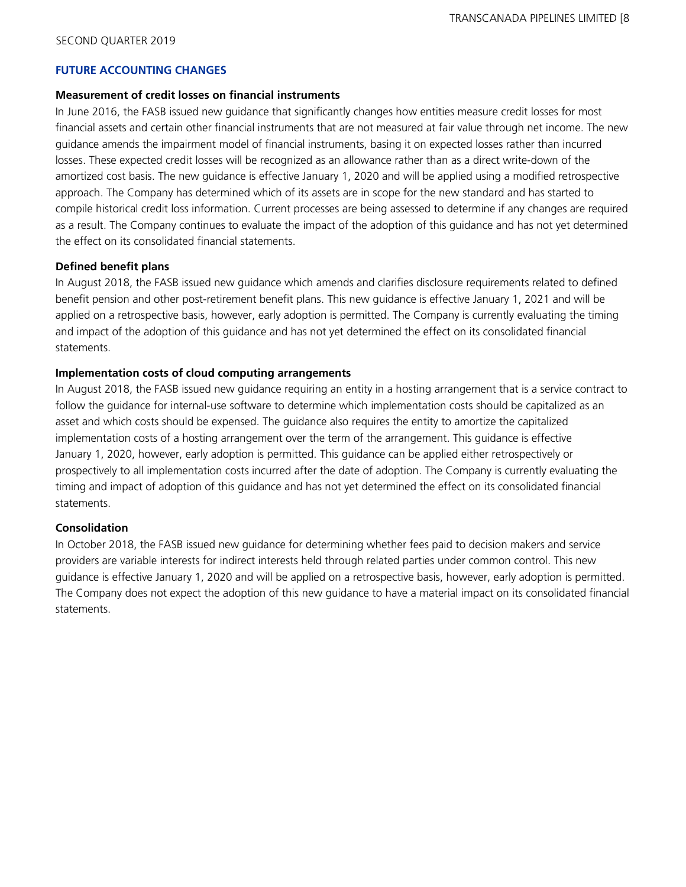### **FUTURE ACCOUNTING CHANGES**

#### **Measurement of credit losses on financial instruments**

In June 2016, the FASB issued new guidance that significantly changes how entities measure credit losses for most financial assets and certain other financial instruments that are not measured at fair value through net income. The new guidance amends the impairment model of financial instruments, basing it on expected losses rather than incurred losses. These expected credit losses will be recognized as an allowance rather than as a direct write-down of the amortized cost basis. The new guidance is effective January 1, 2020 and will be applied using a modified retrospective approach. The Company has determined which of its assets are in scope for the new standard and has started to compile historical credit loss information. Current processes are being assessed to determine if any changes are required as a result. The Company continues to evaluate the impact of the adoption of this guidance and has not yet determined the effect on its consolidated financial statements.

### **Defined benefit plans**

In August 2018, the FASB issued new guidance which amends and clarifies disclosure requirements related to defined benefit pension and other post-retirement benefit plans. This new guidance is effective January 1, 2021 and will be applied on a retrospective basis, however, early adoption is permitted. The Company is currently evaluating the timing and impact of the adoption of this guidance and has not yet determined the effect on its consolidated financial statements.

### **Implementation costs of cloud computing arrangements**

In August 2018, the FASB issued new guidance requiring an entity in a hosting arrangement that is a service contract to follow the guidance for internal-use software to determine which implementation costs should be capitalized as an asset and which costs should be expensed. The guidance also requires the entity to amortize the capitalized implementation costs of a hosting arrangement over the term of the arrangement. This guidance is effective January 1, 2020, however, early adoption is permitted. This guidance can be applied either retrospectively or prospectively to all implementation costs incurred after the date of adoption. The Company is currently evaluating the timing and impact of adoption of this guidance and has not yet determined the effect on its consolidated financial statements.

### **Consolidation**

In October 2018, the FASB issued new guidance for determining whether fees paid to decision makers and service providers are variable interests for indirect interests held through related parties under common control. This new guidance is effective January 1, 2020 and will be applied on a retrospective basis, however, early adoption is permitted. The Company does not expect the adoption of this new guidance to have a material impact on its consolidated financial statements.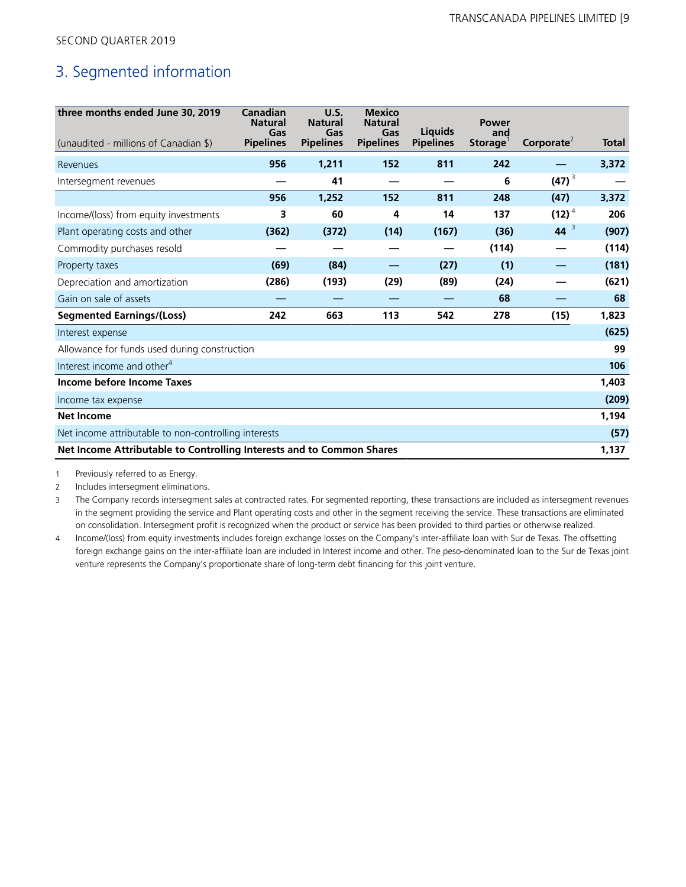# 3. Segmented information

| three months ended June 30, 2019<br>(unaudited - millions of Canadian \$) | Canadian<br><b>Natural</b><br>Gas<br><b>Pipelines</b> | U.S.<br><b>Natural</b><br>Gas<br><b>Pipelines</b> | <b>Mexico</b><br><b>Natural</b><br>Gas<br><b>Pipelines</b> | <b>Liquids</b><br><b>Pipelines</b> | Power<br>and<br>Storage | Corporate <sup>2</sup> | <b>Total</b> |
|---------------------------------------------------------------------------|-------------------------------------------------------|---------------------------------------------------|------------------------------------------------------------|------------------------------------|-------------------------|------------------------|--------------|
| Revenues                                                                  | 956                                                   | 1,211                                             | 152                                                        | 811                                | 242                     |                        | 3,372        |
| Intersegment revenues                                                     |                                                       | 41                                                |                                                            |                                    | 6                       | $(47)^{3}$             |              |
|                                                                           | 956                                                   | 1,252                                             | 152                                                        | 811                                | 248                     | (47)                   | 3,372        |
| Income/(loss) from equity investments                                     | 3                                                     | 60                                                | 4                                                          | 14                                 | 137                     | $(12)^4$               | 206          |
| Plant operating costs and other                                           | (362)                                                 | (372)                                             | (14)                                                       | (167)                              | (36)                    | $44^{3}$               | (907)        |
| Commodity purchases resold                                                |                                                       |                                                   |                                                            |                                    | (114)                   |                        | (114)        |
| Property taxes                                                            | (69)                                                  | (84)                                              |                                                            | (27)                               | (1)                     |                        | (181)        |
| Depreciation and amortization                                             | (286)                                                 | (193)                                             | (29)                                                       | (89)                               | (24)                    |                        | (621)        |
| Gain on sale of assets                                                    |                                                       |                                                   |                                                            |                                    | 68                      |                        | 68           |
| <b>Segmented Earnings/(Loss)</b>                                          | 242                                                   | 663                                               | 113                                                        | 542                                | 278                     | (15)                   | 1,823        |
| Interest expense                                                          |                                                       |                                                   |                                                            |                                    |                         |                        | (625)        |
| Allowance for funds used during construction                              |                                                       |                                                   |                                                            |                                    |                         |                        | 99           |
| Interest income and other <sup>4</sup>                                    |                                                       |                                                   |                                                            |                                    |                         |                        | 106          |
| Income before Income Taxes                                                |                                                       |                                                   |                                                            |                                    |                         |                        | 1,403        |
| Income tax expense                                                        |                                                       |                                                   |                                                            |                                    |                         |                        | (209)        |
| <b>Net Income</b>                                                         |                                                       |                                                   |                                                            |                                    |                         |                        | 1,194        |
| Net income attributable to non-controlling interests                      |                                                       |                                                   |                                                            |                                    |                         |                        | (57)         |
| Net Income Attributable to Controlling Interests and to Common Shares     |                                                       |                                                   |                                                            |                                    |                         |                        |              |

1 Previously referred to as Energy.

2 Includes intersegment eliminations.

3 The Company records intersegment sales at contracted rates. For segmented reporting, these transactions are included as intersegment revenues in the segment providing the service and Plant operating costs and other in the segment receiving the service. These transactions are eliminated on consolidation. Intersegment profit is recognized when the product or service has been provided to third parties or otherwise realized.

4 Income/(loss) from equity investments includes foreign exchange losses on the Company's inter-affiliate loan with Sur de Texas. The offsetting foreign exchange gains on the inter-affiliate loan are included in Interest income and other. The peso-denominated loan to the Sur de Texas joint venture represents the Company's proportionate share of long-term debt financing for this joint venture.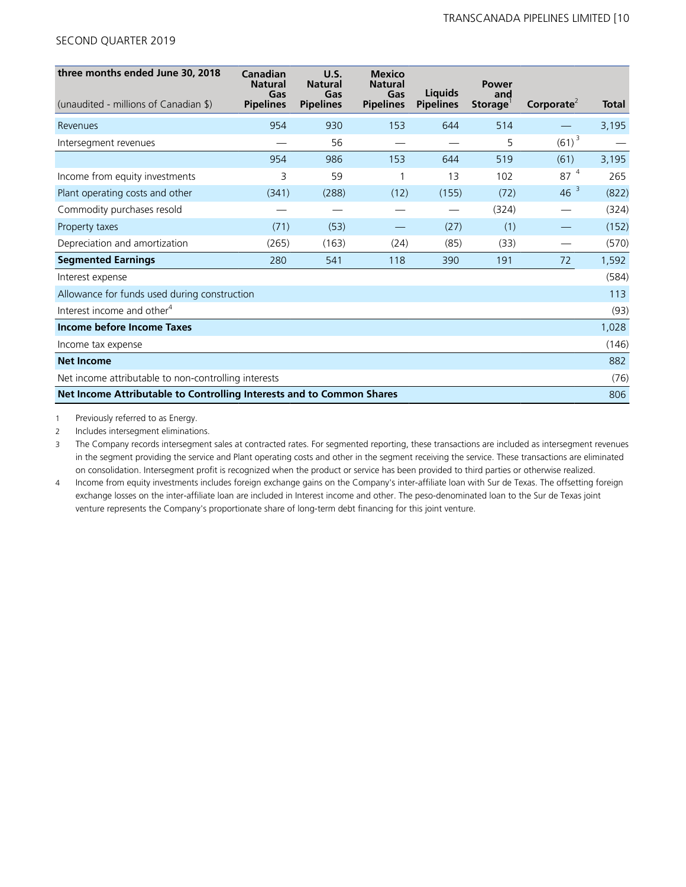| three months ended June 30, 2018                                      | <b>Canadian</b><br><b>Natural</b><br>Gas | U.S.<br><b>Natural</b><br>Gas | <b>Mexico</b><br><b>Natural</b><br>Gas | <b>Liquids</b>   | <b>Power</b><br>and |                        |       |
|-----------------------------------------------------------------------|------------------------------------------|-------------------------------|----------------------------------------|------------------|---------------------|------------------------|-------|
| (unaudited - millions of Canadian \$)                                 | <b>Pipelines</b>                         | <b>Pipelines</b>              | <b>Pipelines</b>                       | <b>Pipelines</b> | Storage             | Corporate <sup>2</sup> | Total |
| Revenues                                                              | 954                                      | 930                           | 153                                    | 644              | 514                 |                        | 3,195 |
| Intersegment revenues                                                 |                                          | 56                            |                                        |                  | 5                   | $(61)^{3}$             |       |
|                                                                       | 954                                      | 986                           | 153                                    | 644              | 519                 | (61)                   | 3,195 |
| Income from equity investments                                        | 3                                        | 59                            |                                        | 13               | 102                 | 87 <sup>4</sup>        | 265   |
| Plant operating costs and other                                       | (341)                                    | (288)                         | (12)                                   | (155)            | (72)                | $46^{3}$               | (822) |
| Commodity purchases resold                                            |                                          |                               |                                        |                  | (324)               |                        | (324) |
| Property taxes                                                        | (71)                                     | (53)                          |                                        | (27)             | (1)                 |                        | (152) |
| Depreciation and amortization                                         | (265)                                    | (163)                         | (24)                                   | (85)             | (33)                |                        | (570) |
| <b>Segmented Earnings</b>                                             | 280                                      | 541                           | 118                                    | 390              | 191                 | 72                     | 1,592 |
| Interest expense                                                      |                                          |                               |                                        |                  |                     |                        | (584) |
| Allowance for funds used during construction                          |                                          |                               |                                        |                  |                     |                        | 113   |
| Interest income and other <sup>4</sup>                                |                                          |                               |                                        |                  |                     |                        | (93)  |
| Income before Income Taxes                                            |                                          |                               |                                        |                  |                     |                        | 1,028 |
| Income tax expense                                                    |                                          |                               |                                        |                  |                     |                        | (146) |
| <b>Net Income</b>                                                     |                                          |                               |                                        |                  |                     |                        | 882   |
| Net income attributable to non-controlling interests                  |                                          |                               |                                        |                  |                     |                        | (76)  |
| Net Income Attributable to Controlling Interests and to Common Shares |                                          |                               |                                        |                  |                     |                        | 806   |

1 Previously referred to as Energy.

2 Includes intersegment eliminations.

3 The Company records intersegment sales at contracted rates. For segmented reporting, these transactions are included as intersegment revenues in the segment providing the service and Plant operating costs and other in the segment receiving the service. These transactions are eliminated on consolidation. Intersegment profit is recognized when the product or service has been provided to third parties or otherwise realized.

4 Income from equity investments includes foreign exchange gains on the Company's inter-affiliate loan with Sur de Texas. The offsetting foreign exchange losses on the inter-affiliate loan are included in Interest income and other. The peso-denominated loan to the Sur de Texas joint venture represents the Company's proportionate share of long-term debt financing for this joint venture.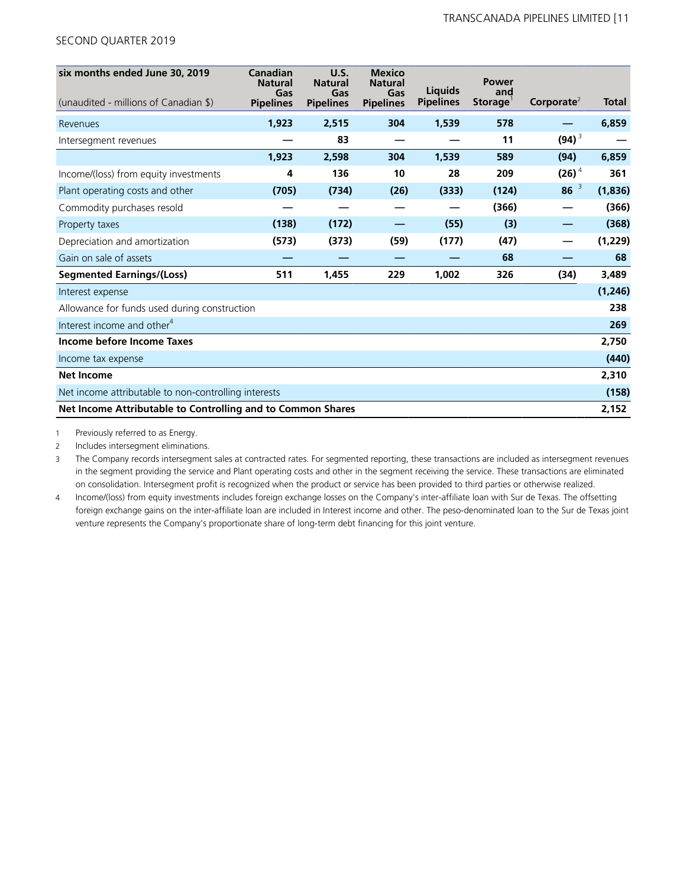| six months ended June 30, 2019<br>(unaudited - millions of Canadian \$) | Canadian<br><b>Natural</b><br>Gas<br><b>Pipelines</b> | <b>U.S.</b><br><b>Natural</b><br>Gas<br><b>Pipelines</b> | <b>Mexico</b><br><b>Natural</b><br>Gas<br><b>Pipelines</b> | Liquids<br><b>Pipelines</b> | <b>Power</b><br>and<br>Storage <sup>1</sup> | Corporate <sup>2</sup> | <b>Total</b> |
|-------------------------------------------------------------------------|-------------------------------------------------------|----------------------------------------------------------|------------------------------------------------------------|-----------------------------|---------------------------------------------|------------------------|--------------|
| Revenues                                                                | 1,923                                                 | 2,515                                                    | 304                                                        | 1,539                       | 578                                         |                        | 6,859        |
| Intersegment revenues                                                   |                                                       | 83                                                       |                                                            |                             | 11                                          | $(94)^3$               |              |
|                                                                         | 1,923                                                 | 2,598                                                    | 304                                                        | 1,539                       | 589                                         | (94)                   | 6,859        |
| Income/(loss) from equity investments                                   | 4                                                     | 136                                                      | 10                                                         | 28                          | 209                                         | $(26)^4$               | 361          |
| Plant operating costs and other                                         | (705)                                                 | (734)                                                    | (26)                                                       | (333)                       | (124)                                       | $86^{3}$               | (1,836)      |
| Commodity purchases resold                                              |                                                       |                                                          | _                                                          |                             | (366)                                       | —                      | (366)        |
| Property taxes                                                          | (138)                                                 | (172)                                                    |                                                            | (55)                        | (3)                                         |                        | (368)        |
| Depreciation and amortization                                           | (573)                                                 | (373)                                                    | (59)                                                       | (177)                       | (47)                                        |                        | (1,229)      |
| Gain on sale of assets                                                  |                                                       |                                                          |                                                            |                             | 68                                          |                        | 68           |
| <b>Segmented Earnings/(Loss)</b>                                        | 511                                                   | 1,455                                                    | 229                                                        | 1,002                       | 326                                         | (34)                   | 3,489        |
| Interest expense                                                        |                                                       |                                                          |                                                            |                             |                                             |                        | (1, 246)     |
| Allowance for funds used during construction                            |                                                       |                                                          |                                                            |                             |                                             |                        | 238          |
| Interest income and other <sup>4</sup>                                  |                                                       |                                                          |                                                            |                             |                                             |                        | 269          |
| Income before Income Taxes                                              |                                                       |                                                          |                                                            |                             |                                             |                        | 2,750        |
| Income tax expense                                                      |                                                       |                                                          |                                                            |                             |                                             |                        | (440)        |
| <b>Net Income</b>                                                       |                                                       |                                                          |                                                            |                             |                                             |                        | 2,310        |
| Net income attributable to non-controlling interests                    |                                                       |                                                          |                                                            |                             |                                             |                        | (158)        |
| Net Income Attributable to Controlling and to Common Shares             |                                                       |                                                          |                                                            |                             |                                             |                        | 2,152        |

1 Previously referred to as Energy.

2 Includes intersegment eliminations.

3 The Company records intersegment sales at contracted rates. For segmented reporting, these transactions are included as intersegment revenues in the segment providing the service and Plant operating costs and other in the segment receiving the service. These transactions are eliminated on consolidation. Intersegment profit is recognized when the product or service has been provided to third parties or otherwise realized.

4 Income/(loss) from equity investments includes foreign exchange losses on the Company's inter-affiliate loan with Sur de Texas. The offsetting foreign exchange gains on the inter-affiliate loan are included in Interest income and other. The peso-denominated loan to the Sur de Texas joint venture represents the Company's proportionate share of long-term debt financing for this joint venture.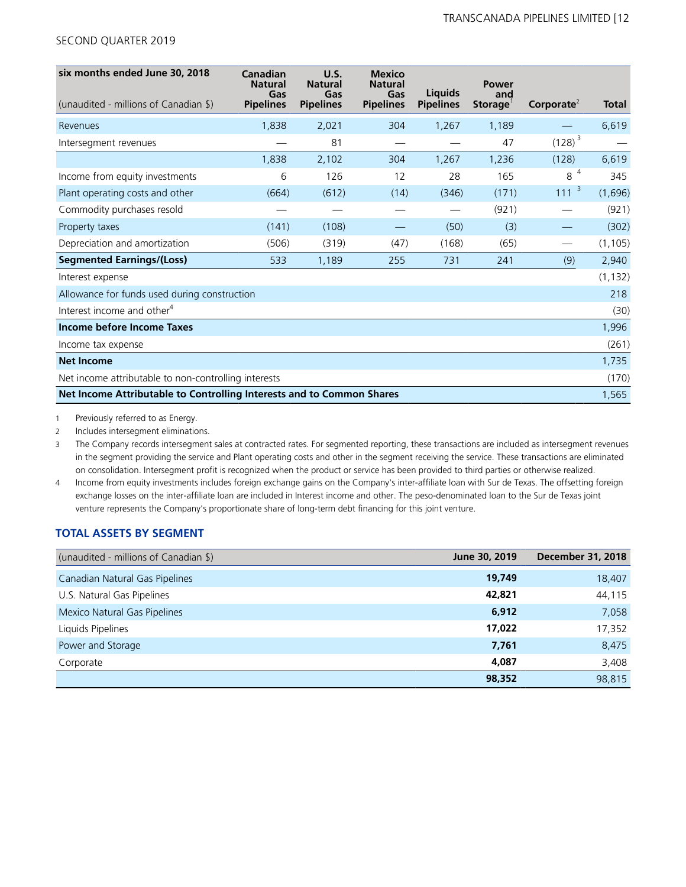| six months ended June 30, 2018                                        | Canadian<br><b>Natural</b><br>Gas | U.S.<br><b>Natural</b><br>Gas | <b>Mexico</b><br><b>Natural</b><br>Gas | Liquids          | Power<br>and |                                     |              |
|-----------------------------------------------------------------------|-----------------------------------|-------------------------------|----------------------------------------|------------------|--------------|-------------------------------------|--------------|
| (unaudited - millions of Canadian \$)                                 | <b>Pipelines</b>                  | <b>Pipelines</b>              | <b>Pipelines</b>                       | <b>Pipelines</b> | Storage      | Corporate <sup><math>2</math></sup> | <b>Total</b> |
| Revenues                                                              | 1,838                             | 2,021                         | 304                                    | 1,267            | 1,189        |                                     | 6,619        |
| Intersegment revenues                                                 |                                   | 81                            |                                        |                  | 47           | $(128)^3$                           |              |
|                                                                       | 1,838                             | 2,102                         | 304                                    | 1,267            | 1,236        | (128)                               | 6,619        |
| Income from equity investments                                        | 6                                 | 126                           | 12                                     | 28               | 165          | 8 <sup>4</sup>                      | 345          |
| Plant operating costs and other                                       | (664)                             | (612)                         | (14)                                   | (346)            | (171)        | 111 <sup>3</sup>                    | (1,696)      |
| Commodity purchases resold                                            |                                   |                               |                                        |                  | (921)        |                                     | (921)        |
| Property taxes                                                        | (141)                             | (108)                         |                                        | (50)             | (3)          |                                     | (302)        |
| Depreciation and amortization                                         | (506)                             | (319)                         | (47)                                   | (168)            | (65)         |                                     | (1, 105)     |
| <b>Segmented Earnings/(Loss)</b>                                      | 533                               | 1,189                         | 255                                    | 731              | 241          | (9)                                 | 2,940        |
| Interest expense                                                      |                                   |                               |                                        |                  |              |                                     | (1, 132)     |
| Allowance for funds used during construction                          |                                   |                               |                                        |                  |              |                                     | 218          |
| Interest income and other <sup>4</sup>                                |                                   |                               |                                        |                  |              |                                     | (30)         |
| Income before Income Taxes                                            |                                   |                               |                                        |                  |              |                                     | 1,996        |
| Income tax expense                                                    |                                   |                               |                                        |                  |              |                                     | (261)        |
| <b>Net Income</b>                                                     |                                   |                               |                                        |                  |              |                                     | 1,735        |
| Net income attributable to non-controlling interests                  |                                   |                               |                                        |                  |              |                                     | (170)        |
| Net Income Attributable to Controlling Interests and to Common Shares |                                   |                               |                                        |                  |              |                                     | 1,565        |

1 Previously referred to as Energy.

2 Includes intersegment eliminations.

3 The Company records intersegment sales at contracted rates. For segmented reporting, these transactions are included as intersegment revenues in the segment providing the service and Plant operating costs and other in the segment receiving the service. These transactions are eliminated on consolidation. Intersegment profit is recognized when the product or service has been provided to third parties or otherwise realized.

4 Income from equity investments includes foreign exchange gains on the Company's inter-affiliate loan with Sur de Texas. The offsetting foreign exchange losses on the inter-affiliate loan are included in Interest income and other. The peso-denominated loan to the Sur de Texas joint venture represents the Company's proportionate share of long-term debt financing for this joint venture.

# **TOTAL ASSETS BY SEGMENT**

| (unaudited - millions of Canadian \$) | June 30, 2019 | <b>December 31, 2018</b> |
|---------------------------------------|---------------|--------------------------|
| Canadian Natural Gas Pipelines        | 19,749        | 18,407                   |
| U.S. Natural Gas Pipelines            | 42,821        | 44,115                   |
| Mexico Natural Gas Pipelines          | 6,912         | 7,058                    |
| Liquids Pipelines                     | 17,022        | 17,352                   |
| Power and Storage                     | 7,761         | 8,475                    |
| Corporate                             | 4,087         | 3,408                    |
|                                       | 98,352        | 98,815                   |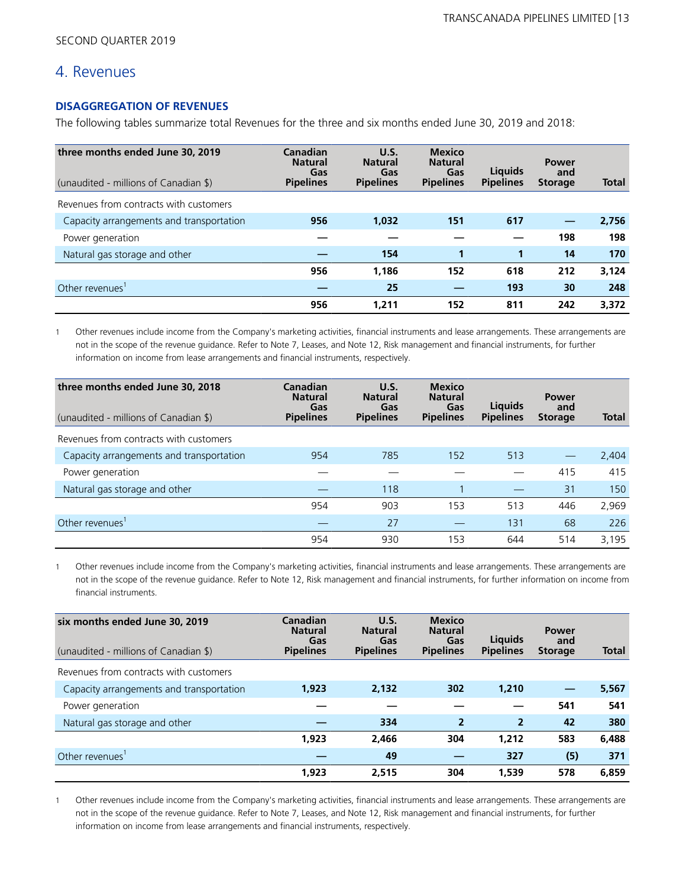# 4. Revenues

# **DISAGGREGATION OF REVENUES**

The following tables summarize total Revenues for the three and six months ended June 30, 2019 and 2018:

| three months ended June 30, 2019<br>(unaudited - millions of Canadian \$) | Canadian<br><b>Natural</b><br>Gas<br><b>Pipelines</b> | U.S.<br><b>Natural</b><br>Gas<br><b>Pipelines</b> | <b>Mexico</b><br><b>Natural</b><br>Gas<br><b>Pipelines</b> | Liauids<br><b>Pipelines</b> | <b>Power</b><br>and<br><b>Storage</b> | <b>Total</b> |
|---------------------------------------------------------------------------|-------------------------------------------------------|---------------------------------------------------|------------------------------------------------------------|-----------------------------|---------------------------------------|--------------|
| Revenues from contracts with customers                                    |                                                       |                                                   |                                                            |                             |                                       |              |
| Capacity arrangements and transportation                                  | 956                                                   | 1,032                                             | 151                                                        | 617                         |                                       | 2,756        |
| Power generation                                                          |                                                       |                                                   |                                                            |                             | 198                                   | 198          |
| Natural gas storage and other                                             |                                                       | 154                                               |                                                            | 1                           | 14                                    | 170          |
|                                                                           | 956                                                   | 1,186                                             | 152                                                        | 618                         | 212                                   | 3,124        |
| Other revenues                                                            |                                                       | 25                                                |                                                            | 193                         | 30                                    | 248          |
|                                                                           | 956                                                   | 1,211                                             | 152                                                        | 811                         | 242                                   | 3,372        |

1 Other revenues include income from the Company's marketing activities, financial instruments and lease arrangements. These arrangements are not in the scope of the revenue guidance. Refer to Note 7, Leases, and Note 12, Risk management and financial instruments, for further information on income from lease arrangements and financial instruments, respectively.

| three months ended June 30, 2018<br>(unaudited - millions of Canadian \$) | Canadian<br><b>Natural</b><br>Gas<br><b>Pipelines</b> | U.S.<br><b>Natural</b><br>Gas<br><b>Pipelines</b> | <b>Mexico</b><br><b>Natural</b><br>Gas<br><b>Pipelines</b> | Liquids<br><b>Pipelines</b> | <b>Power</b><br>and<br><b>Storage</b> | <b>Total</b> |
|---------------------------------------------------------------------------|-------------------------------------------------------|---------------------------------------------------|------------------------------------------------------------|-----------------------------|---------------------------------------|--------------|
| Revenues from contracts with customers                                    |                                                       |                                                   |                                                            |                             |                                       |              |
| Capacity arrangements and transportation                                  | 954                                                   | 785                                               | 152                                                        | 513                         |                                       | 2,404        |
| Power generation                                                          |                                                       |                                                   |                                                            |                             | 415                                   | 415          |
| Natural gas storage and other                                             |                                                       | 118                                               |                                                            |                             | 31                                    | 150          |
|                                                                           | 954                                                   | 903                                               | 153                                                        | 513                         | 446                                   | 2,969        |
| Other revenues'                                                           |                                                       | 27                                                |                                                            | 131                         | 68                                    | 226          |
|                                                                           | 954                                                   | 930                                               | 153                                                        | 644                         | 514                                   | 3,195        |

1 Other revenues include income from the Company's marketing activities, financial instruments and lease arrangements. These arrangements are not in the scope of the revenue guidance. Refer to Note 12, Risk management and financial instruments, for further information on income from financial instruments.

| six months ended June 30, 2019<br>(unaudited - millions of Canadian \$) | Canadian<br><b>Natural</b><br>Gas<br><b>Pipelines</b> | U.S.<br><b>Natural</b><br>Gas<br><b>Pipelines</b> | <b>Mexico</b><br><b>Natural</b><br>Gas<br><b>Pipelines</b> | <b>Liquids</b><br><b>Pipelines</b> | <b>Power</b><br>and<br><b>Storage</b> | <b>Total</b> |
|-------------------------------------------------------------------------|-------------------------------------------------------|---------------------------------------------------|------------------------------------------------------------|------------------------------------|---------------------------------------|--------------|
| Revenues from contracts with customers                                  |                                                       |                                                   |                                                            |                                    |                                       |              |
| Capacity arrangements and transportation                                | 1,923                                                 | 2.132                                             | 302                                                        | 1,210                              |                                       | 5,567        |
| Power generation                                                        |                                                       |                                                   |                                                            |                                    | 541                                   | 541          |
| Natural gas storage and other                                           |                                                       | 334                                               | $\overline{2}$                                             | $\overline{2}$                     | 42                                    | 380          |
|                                                                         | 1,923                                                 | 2,466                                             | 304                                                        | 1,212                              | 583                                   | 6,488        |
| Other revenues'                                                         |                                                       | 49                                                |                                                            | 327                                | (5)                                   | 371          |
|                                                                         | 1,923                                                 | 2,515                                             | 304                                                        | 1,539                              | 578                                   | 6,859        |

1 Other revenues include income from the Company's marketing activities, financial instruments and lease arrangements. These arrangements are not in the scope of the revenue guidance. Refer to Note 7, Leases, and Note 12, Risk management and financial instruments, for further information on income from lease arrangements and financial instruments, respectively.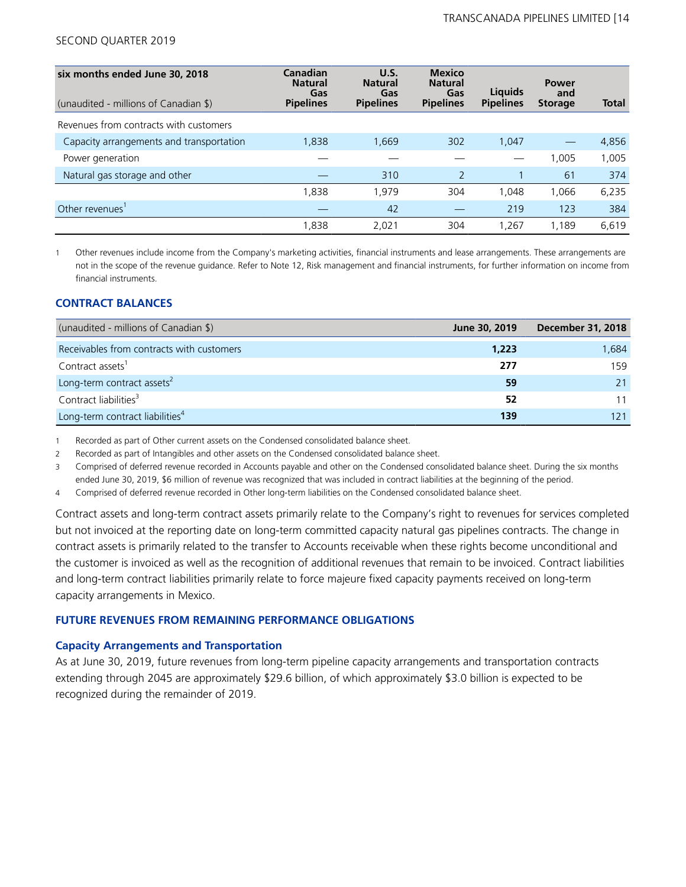| six months ended June 30, 2018<br>(unaudited - millions of Canadian \$) | Canadian<br><b>Natural</b><br>Gas<br><b>Pipelines</b> | U.S.<br><b>Natural</b><br>Gas<br><b>Pipelines</b> | <b>Mexico</b><br><b>Natural</b><br>Gas<br><b>Pipelines</b> | Liguids<br><b>Pipelines</b> | <b>Power</b><br>and<br><b>Storage</b> | <b>Total</b> |
|-------------------------------------------------------------------------|-------------------------------------------------------|---------------------------------------------------|------------------------------------------------------------|-----------------------------|---------------------------------------|--------------|
| Revenues from contracts with customers                                  |                                                       |                                                   |                                                            |                             |                                       |              |
| Capacity arrangements and transportation                                | 1,838                                                 | 1,669                                             | 302                                                        | 1.047                       |                                       | 4,856        |
| Power generation                                                        |                                                       |                                                   |                                                            |                             | 1.005                                 | 1,005        |
| Natural gas storage and other                                           |                                                       | 310                                               | 2                                                          |                             | 61                                    | 374          |
|                                                                         | 1,838                                                 | 1.979                                             | 304                                                        | 1.048                       | 1.066                                 | 6,235        |
| Other revenues'                                                         |                                                       | 42                                                |                                                            | 219                         | 123                                   | 384          |
|                                                                         | 1,838                                                 | 2,021                                             | 304                                                        | 1.267                       | 1,189                                 | 6,619        |

1 Other revenues include income from the Company's marketing activities, financial instruments and lease arrangements. These arrangements are not in the scope of the revenue guidance. Refer to Note 12, Risk management and financial instruments, for further information on income from financial instruments.

# **CONTRACT BALANCES**

| (unaudited - millions of Canadian \$)       | June 30, 2019 | <b>December 31, 2018</b> |
|---------------------------------------------|---------------|--------------------------|
| Receivables from contracts with customers   | 1,223         | 1,684                    |
| Contract assets <sup>1</sup>                | 277           | 159                      |
| Long-term contract assets <sup>2</sup>      | 59            |                          |
| Contract liabilities <sup>3</sup>           | 52            |                          |
| Long-term contract liabilities <sup>4</sup> | 139           |                          |

1 Recorded as part of Other current assets on the Condensed consolidated balance sheet.

2 Recorded as part of Intangibles and other assets on the Condensed consolidated balance sheet.

3 Comprised of deferred revenue recorded in Accounts payable and other on the Condensed consolidated balance sheet. During the six months ended June 30, 2019, \$6 million of revenue was recognized that was included in contract liabilities at the beginning of the period.

4 Comprised of deferred revenue recorded in Other long-term liabilities on the Condensed consolidated balance sheet.

Contract assets and long-term contract assets primarily relate to the Company's right to revenues for services completed but not invoiced at the reporting date on long-term committed capacity natural gas pipelines contracts. The change in contract assets is primarily related to the transfer to Accounts receivable when these rights become unconditional and the customer is invoiced as well as the recognition of additional revenues that remain to be invoiced. Contract liabilities and long-term contract liabilities primarily relate to force majeure fixed capacity payments received on long-term capacity arrangements in Mexico.

### **FUTURE REVENUES FROM REMAINING PERFORMANCE OBLIGATIONS**

### **Capacity Arrangements and Transportation**

As at June 30, 2019, future revenues from long-term pipeline capacity arrangements and transportation contracts extending through 2045 are approximately \$29.6 billion, of which approximately \$3.0 billion is expected to be recognized during the remainder of 2019.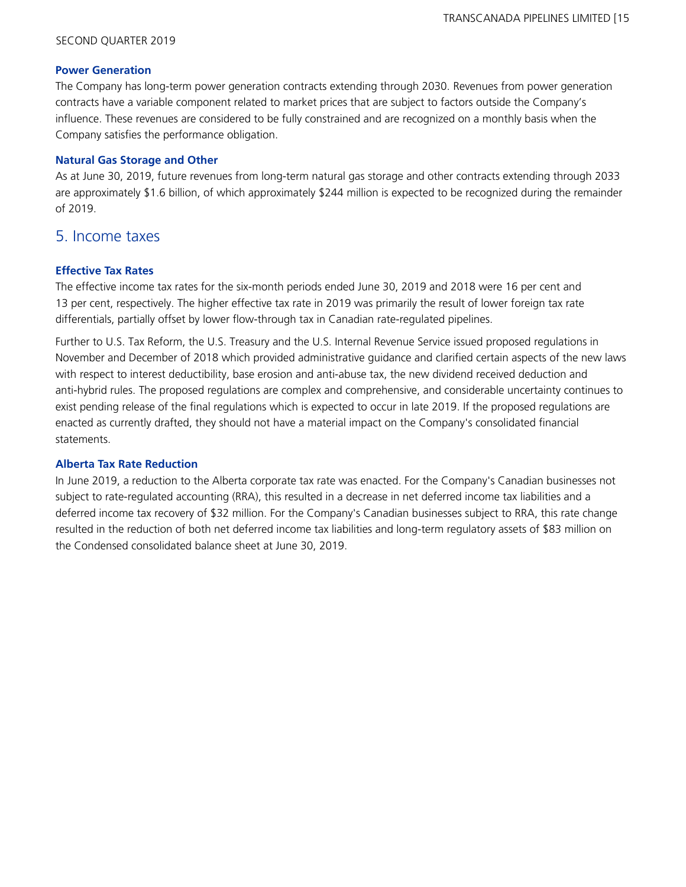### **Power Generation**

The Company has long-term power generation contracts extending through 2030. Revenues from power generation contracts have a variable component related to market prices that are subject to factors outside the Company's influence. These revenues are considered to be fully constrained and are recognized on a monthly basis when the Company satisfies the performance obligation.

### **Natural Gas Storage and Other**

As at June 30, 2019, future revenues from long-term natural gas storage and other contracts extending through 2033 are approximately \$1.6 billion, of which approximately \$244 million is expected to be recognized during the remainder of 2019.

# 5. Income taxes

# **Effective Tax Rates**

The effective income tax rates for the six-month periods ended June 30, 2019 and 2018 were 16 per cent and 13 per cent, respectively. The higher effective tax rate in 2019 was primarily the result of lower foreign tax rate differentials, partially offset by lower flow-through tax in Canadian rate-regulated pipelines.

Further to U.S. Tax Reform, the U.S. Treasury and the U.S. Internal Revenue Service issued proposed regulations in November and December of 2018 which provided administrative guidance and clarified certain aspects of the new laws with respect to interest deductibility, base erosion and anti-abuse tax, the new dividend received deduction and anti-hybrid rules. The proposed regulations are complex and comprehensive, and considerable uncertainty continues to exist pending release of the final regulations which is expected to occur in late 2019. If the proposed regulations are enacted as currently drafted, they should not have a material impact on the Company's consolidated financial statements.

### **Alberta Tax Rate Reduction**

In June 2019, a reduction to the Alberta corporate tax rate was enacted. For the Company's Canadian businesses not subject to rate-regulated accounting (RRA), this resulted in a decrease in net deferred income tax liabilities and a deferred income tax recovery of \$32 million. For the Company's Canadian businesses subject to RRA, this rate change resulted in the reduction of both net deferred income tax liabilities and long-term regulatory assets of \$83 million on the Condensed consolidated balance sheet at June 30, 2019.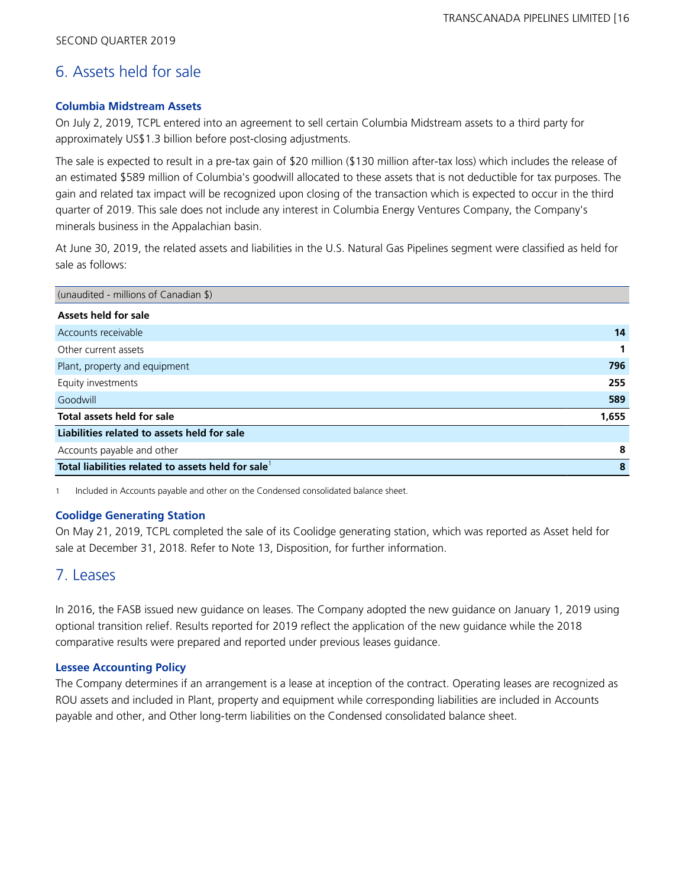# 6. Assets held for sale

# **Columbia Midstream Assets**

On July 2, 2019, TCPL entered into an agreement to sell certain Columbia Midstream assets to a third party for approximately US\$1.3 billion before post-closing adjustments.

The sale is expected to result in a pre-tax gain of \$20 million (\$130 million after-tax loss) which includes the release of an estimated \$589 million of Columbia's goodwill allocated to these assets that is not deductible for tax purposes. The gain and related tax impact will be recognized upon closing of the transaction which is expected to occur in the third quarter of 2019. This sale does not include any interest in Columbia Energy Ventures Company, the Company's minerals business in the Appalachian basin.

At June 30, 2019, the related assets and liabilities in the U.S. Natural Gas Pipelines segment were classified as held for sale as follows:

| (unaudited - millions of Canadian \$)             |       |
|---------------------------------------------------|-------|
| Assets held for sale                              |       |
| Accounts receivable                               | 14    |
| Other current assets                              |       |
| Plant, property and equipment                     | 796   |
| Equity investments                                | 255   |
| Goodwill                                          | 589   |
| Total assets held for sale                        | 1,655 |
| Liabilities related to assets held for sale       |       |
| Accounts payable and other                        | 8     |
| Total liabilities related to assets held for sale | 8     |

1 Included in Accounts payable and other on the Condensed consolidated balance sheet.

# **Coolidge Generating Station**

On May 21, 2019, TCPL completed the sale of its Coolidge generating station, which was reported as Asset held for sale at December 31, 2018. Refer to Note 13, Disposition, for further information.

# 7. Leases

In 2016, the FASB issued new guidance on leases. The Company adopted the new guidance on January 1, 2019 using optional transition relief. Results reported for 2019 reflect the application of the new guidance while the 2018 comparative results were prepared and reported under previous leases guidance.

# **Lessee Accounting Policy**

The Company determines if an arrangement is a lease at inception of the contract. Operating leases are recognized as ROU assets and included in Plant, property and equipment while corresponding liabilities are included in Accounts payable and other, and Other long-term liabilities on the Condensed consolidated balance sheet.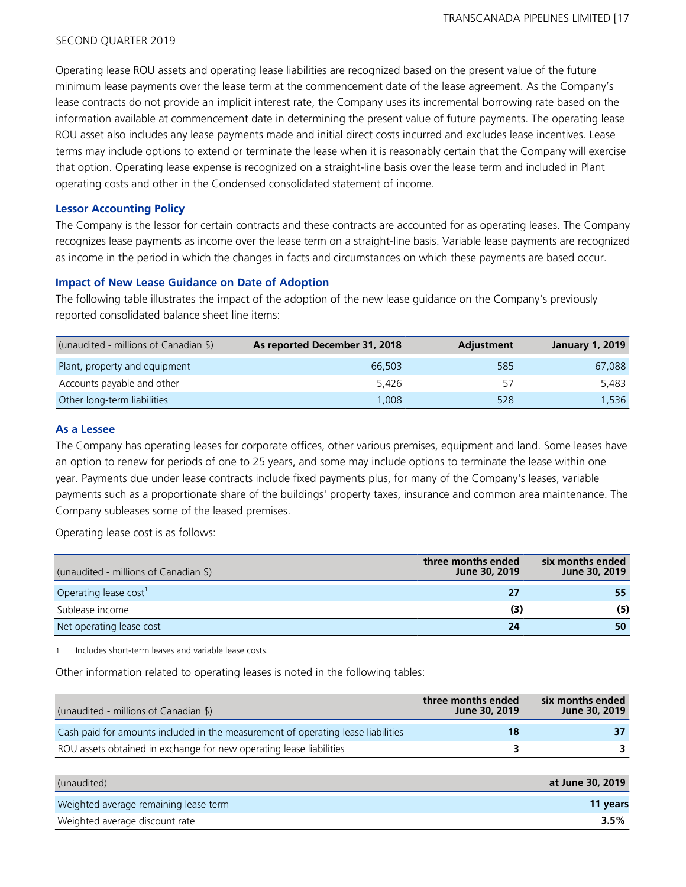Operating lease ROU assets and operating lease liabilities are recognized based on the present value of the future minimum lease payments over the lease term at the commencement date of the lease agreement. As the Company's lease contracts do not provide an implicit interest rate, the Company uses its incremental borrowing rate based on the information available at commencement date in determining the present value of future payments. The operating lease ROU asset also includes any lease payments made and initial direct costs incurred and excludes lease incentives. Lease terms may include options to extend or terminate the lease when it is reasonably certain that the Company will exercise that option. Operating lease expense is recognized on a straight-line basis over the lease term and included in Plant operating costs and other in the Condensed consolidated statement of income.

### **Lessor Accounting Policy**

The Company is the lessor for certain contracts and these contracts are accounted for as operating leases. The Company recognizes lease payments as income over the lease term on a straight-line basis. Variable lease payments are recognized as income in the period in which the changes in facts and circumstances on which these payments are based occur.

#### **Impact of New Lease Guidance on Date of Adoption**

The following table illustrates the impact of the adoption of the new lease guidance on the Company's previously reported consolidated balance sheet line items:

| (unaudited - millions of Canadian \$) | As reported December 31, 2018 | Adjustment | <b>January 1, 2019</b> |
|---------------------------------------|-------------------------------|------------|------------------------|
| Plant, property and equipment         | 66,503                        | 585        | 67.088                 |
| Accounts payable and other            | 5.426                         | 57         | 5.483                  |
| Other long-term liabilities           | 1.008                         | 528        | 1.536                  |

#### **As a Lessee**

The Company has operating leases for corporate offices, other various premises, equipment and land. Some leases have an option to renew for periods of one to 25 years, and some may include options to terminate the lease within one year. Payments due under lease contracts include fixed payments plus, for many of the Company's leases, variable payments such as a proportionate share of the buildings' property taxes, insurance and common area maintenance. The Company subleases some of the leased premises.

Operating lease cost is as follows:

| (unaudited - millions of Canadian \$) | three months ended<br>June 30, 2019 | six months ended<br>June 30, 2019 |
|---------------------------------------|-------------------------------------|-----------------------------------|
| Operating lease cost                  | 27                                  | 55                                |
| Sublease income                       | (3)                                 | (5)                               |
| Net operating lease cost              | 24                                  | 50                                |

1 Includes short-term leases and variable lease costs.

Other information related to operating leases is noted in the following tables:

| (unaudited - millions of Canadian \$)                                            | three months ended<br>June 30, 2019 | six months ended<br>June 30, 2019 |
|----------------------------------------------------------------------------------|-------------------------------------|-----------------------------------|
| Cash paid for amounts included in the measurement of operating lease liabilities | 18                                  |                                   |
| ROU assets obtained in exchange for new operating lease liabilities              | 3                                   |                                   |
|                                                                                  |                                     |                                   |
| (unaudited)                                                                      |                                     | at June 30, 2019                  |

| Weighted average remaining lease term | 11 years |
|---------------------------------------|----------|
| Weighted average discount rate        | $3.5\%$  |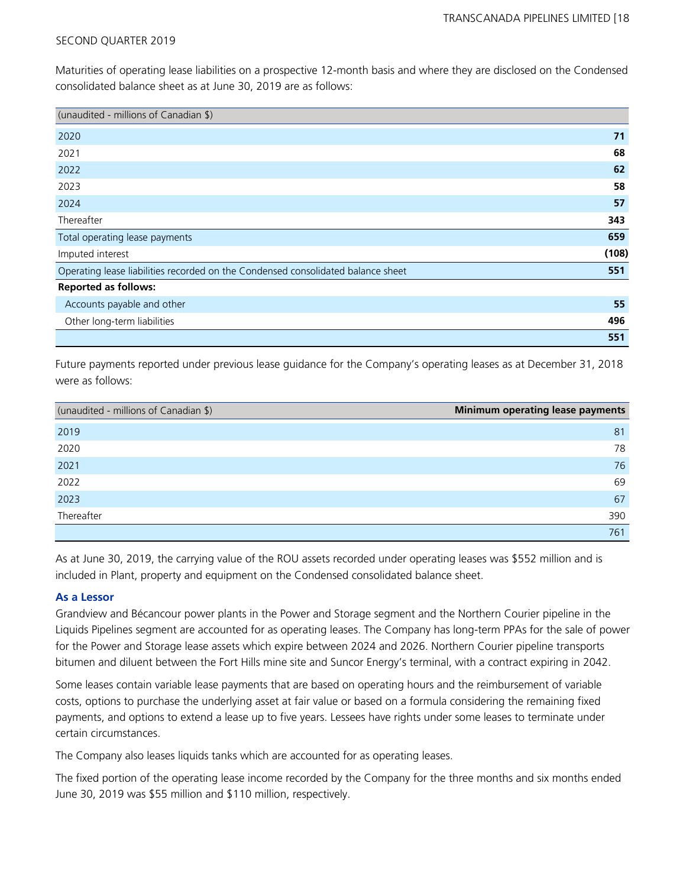Maturities of operating lease liabilities on a prospective 12-month basis and where they are disclosed on the Condensed consolidated balance sheet as at June 30, 2019 are as follows:

| (unaudited - millions of Canadian \$)                                            |       |
|----------------------------------------------------------------------------------|-------|
| 2020                                                                             | 71    |
| 2021                                                                             | 68    |
| 2022                                                                             | 62    |
| 2023                                                                             | 58    |
| 2024                                                                             | 57    |
| Thereafter                                                                       | 343   |
| Total operating lease payments                                                   | 659   |
| Imputed interest                                                                 | (108) |
| Operating lease liabilities recorded on the Condensed consolidated balance sheet | 551   |
| <b>Reported as follows:</b>                                                      |       |
| Accounts payable and other                                                       | 55    |
| Other long-term liabilities                                                      | 496   |
|                                                                                  | 551   |

Future payments reported under previous lease guidance for the Company's operating leases as at December 31, 2018 were as follows:

| (unaudited - millions of Canadian \$) | Minimum operating lease payments |
|---------------------------------------|----------------------------------|
| 2019                                  | 81                               |
| 2020                                  | 78                               |
| 2021                                  | 76                               |
| 2022                                  | 69                               |
| 2023                                  | 67                               |
| Thereafter                            | 390                              |
|                                       | 761                              |

As at June 30, 2019, the carrying value of the ROU assets recorded under operating leases was \$552 million and is included in Plant, property and equipment on the Condensed consolidated balance sheet.

# **As a Lessor**

Grandview and Bécancour power plants in the Power and Storage segment and the Northern Courier pipeline in the Liquids Pipelines segment are accounted for as operating leases. The Company has long-term PPAs for the sale of power for the Power and Storage lease assets which expire between 2024 and 2026. Northern Courier pipeline transports bitumen and diluent between the Fort Hills mine site and Suncor Energy's terminal, with a contract expiring in 2042.

Some leases contain variable lease payments that are based on operating hours and the reimbursement of variable costs, options to purchase the underlying asset at fair value or based on a formula considering the remaining fixed payments, and options to extend a lease up to five years. Lessees have rights under some leases to terminate under certain circumstances.

The Company also leases liquids tanks which are accounted for as operating leases.

The fixed portion of the operating lease income recorded by the Company for the three months and six months ended June 30, 2019 was \$55 million and \$110 million, respectively.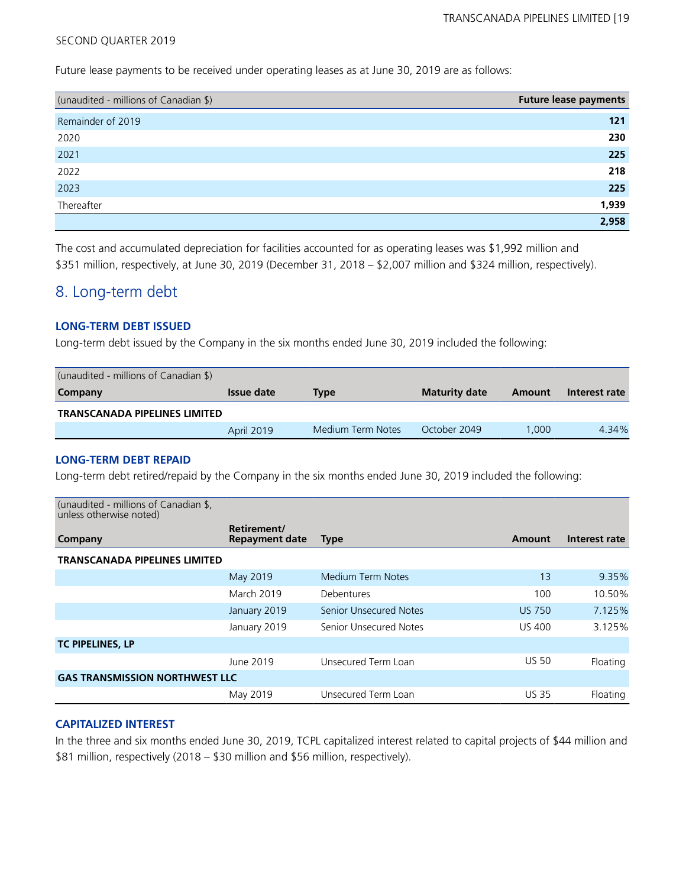Future lease payments to be received under operating leases as at June 30, 2019 are as follows:

| (unaudited - millions of Canadian \$) | <b>Future lease payments</b> |
|---------------------------------------|------------------------------|
| Remainder of 2019                     | 121                          |
| 2020                                  | 230                          |
| 2021                                  | 225                          |
| 2022                                  | 218                          |
| 2023                                  | 225                          |
| Thereafter                            | 1,939                        |
|                                       | 2.958                        |

The cost and accumulated depreciation for facilities accounted for as operating leases was \$1,992 million and \$351 million, respectively, at June 30, 2019 (December 31, 2018 – \$2,007 million and \$324 million, respectively).

# 8. Long-term debt

### **LONG-TERM DEBT ISSUED**

Long-term debt issued by the Company in the six months ended June 30, 2019 included the following:

| (unaudited - millions of Canadian \$) |                   |                   |                      |        |               |
|---------------------------------------|-------------------|-------------------|----------------------|--------|---------------|
| Company                               | <b>Issue date</b> | Type              | <b>Maturity date</b> | Amount | Interest rate |
| <b>TRANSCANADA PIPELINES LIMITED</b>  |                   |                   |                      |        |               |
|                                       | April 2019        | Medium Term Notes | October 2049         | .000   | 4.34%         |

## **LONG-TERM DEBT REPAID**

Long-term debt retired/repaid by the Company in the six months ended June 30, 2019 included the following:

| (unaudited - millions of Canadian \$,<br>unless otherwise noted) |                                      |                               |               |               |
|------------------------------------------------------------------|--------------------------------------|-------------------------------|---------------|---------------|
| Company                                                          | Retirement/<br><b>Repayment date</b> | <b>Type</b>                   | Amount        | Interest rate |
| <b>TRANSCANADA PIPELINES LIMITED</b>                             |                                      |                               |               |               |
|                                                                  | May 2019                             | Medium Term Notes             | 13            | 9.35%         |
|                                                                  | <b>March 2019</b>                    | Debentures                    | 100           | 10.50%        |
|                                                                  | January 2019                         | <b>Senior Unsecured Notes</b> | <b>US 750</b> | 7.125%        |
|                                                                  | January 2019                         | Senior Unsecured Notes        | <b>US 400</b> | 3.125%        |
| <b>TC PIPELINES, LP</b>                                          |                                      |                               |               |               |
|                                                                  | June 2019                            | Unsecured Term Loan           | <b>US 50</b>  | Floating      |
| <b>GAS TRANSMISSION NORTHWEST LLC</b>                            |                                      |                               |               |               |
|                                                                  | May 2019                             | Unsecured Term Loan           | <b>US 35</b>  | Floating      |

### **CAPITALIZED INTEREST**

In the three and six months ended June 30, 2019, TCPL capitalized interest related to capital projects of \$44 million and \$81 million, respectively (2018 – \$30 million and \$56 million, respectively).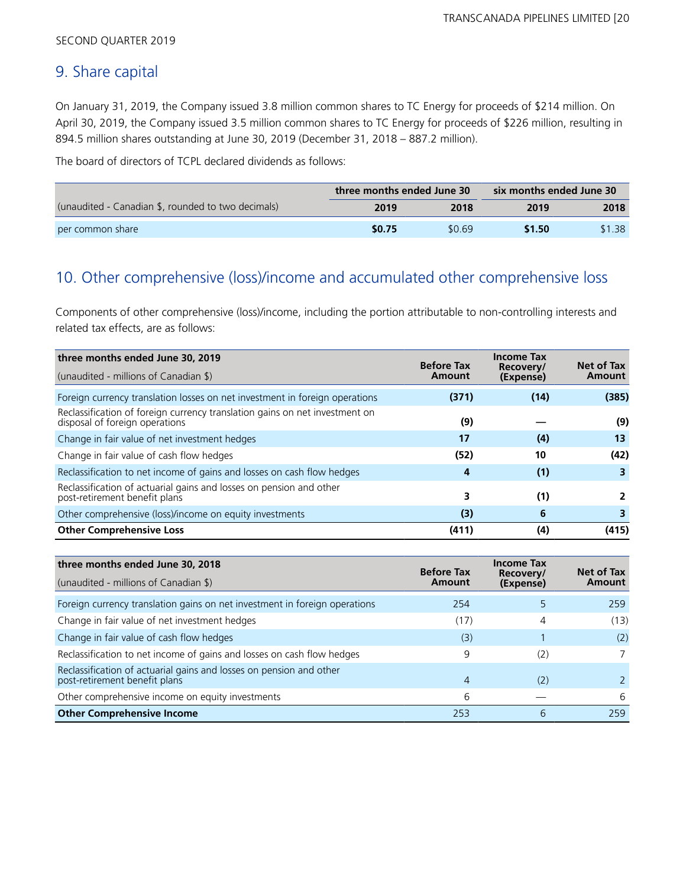# 9. Share capital

On January 31, 2019, the Company issued 3.8 million common shares to TC Energy for proceeds of \$214 million. On April 30, 2019, the Company issued 3.5 million common shares to TC Energy for proceeds of \$226 million, resulting in 894.5 million shares outstanding at June 30, 2019 (December 31, 2018 – 887.2 million).

The board of directors of TCPL declared dividends as follows:

|                                                    | three months ended June 30 |        | six months ended June 30 |        |  |
|----------------------------------------------------|----------------------------|--------|--------------------------|--------|--|
| (unaudited - Canadian \$, rounded to two decimals) | 2019                       | 2018   | 2019                     | 2018   |  |
| per common share                                   | \$0.75                     | \$0.69 | \$1.50                   | \$1.38 |  |

# 10. Other comprehensive (loss)/income and accumulated other comprehensive loss

Components of other comprehensive (loss)/income, including the portion attributable to non-controlling interests and related tax effects, are as follows:

| three months ended June 30, 2019                                                                              | <b>Before Tax</b> | <b>Income Tax</b>      | Net of Tax |
|---------------------------------------------------------------------------------------------------------------|-------------------|------------------------|------------|
| (unaudited - millions of Canadian \$)<br>Amount                                                               |                   | Recovery/<br>(Expense) | Amount     |
| Foreign currency translation losses on net investment in foreign operations                                   | (371)             | (14)                   | (385)      |
| Reclassification of foreign currency translation gains on net investment on<br>disposal of foreign operations | (9)               |                        | (9)        |
| Change in fair value of net investment hedges                                                                 | 17                | (4)                    | 13         |
| Change in fair value of cash flow hedges                                                                      | (52)              | 10                     | (42)       |
| Reclassification to net income of gains and losses on cash flow hedges                                        | 4                 | (1)                    |            |
| Reclassification of actuarial gains and losses on pension and other<br>post-retirement benefit plans          | 3                 | (1)                    |            |
| Other comprehensive (loss)/income on equity investments                                                       | (3)               | 6                      | 3          |
| <b>Other Comprehensive Loss</b>                                                                               | (411)             | (4)                    | (415)      |

| three months ended June 30, 2018                                                                     | <b>Before Tax</b> | <b>Income Tax</b><br>Recovery/ | Net of Tax |
|------------------------------------------------------------------------------------------------------|-------------------|--------------------------------|------------|
| (unaudited - millions of Canadian \$)                                                                | Amount            | (Expense)                      | Amount     |
| Foreign currency translation gains on net investment in foreign operations                           | 254               |                                | 259        |
| Change in fair value of net investment hedges                                                        | (17)              | 4                              | (13)       |
| Change in fair value of cash flow hedges                                                             | (3)               |                                | (2)        |
| Reclassification to net income of gains and losses on cash flow hedges                               | 9                 | (2)                            |            |
| Reclassification of actuarial gains and losses on pension and other<br>post-retirement benefit plans | 4                 | (2)                            |            |
| Other comprehensive income on equity investments                                                     | 6                 |                                | 6          |
| <b>Other Comprehensive Income</b>                                                                    | 253               | 6                              | 259        |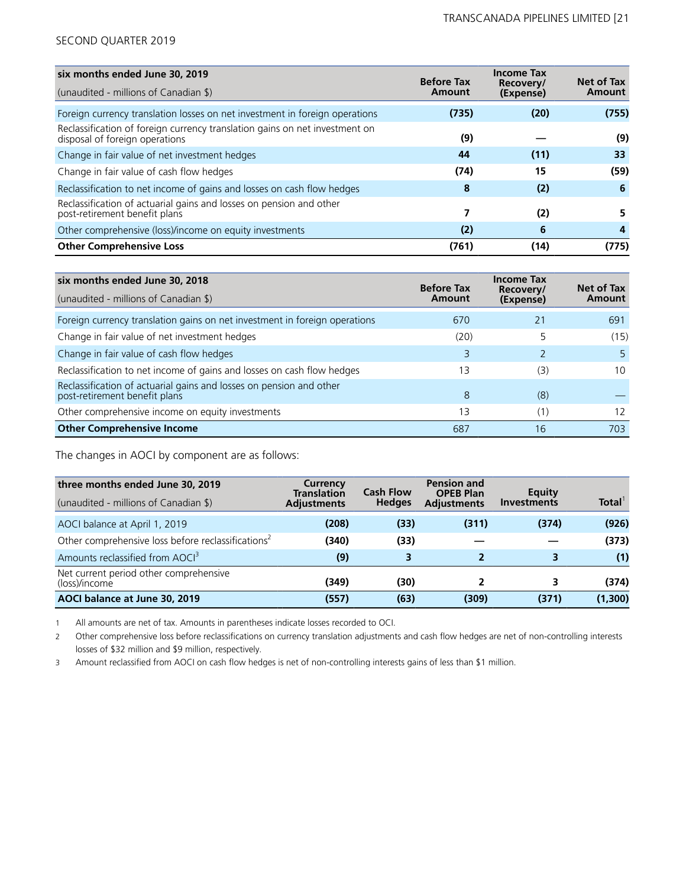| six months ended June 30, 2019                                                                                | <b>Before Tax</b> | <b>Income Tax</b>      | <b>Net of Tax</b> |
|---------------------------------------------------------------------------------------------------------------|-------------------|------------------------|-------------------|
| (unaudited - millions of Canadian \$)                                                                         | Amount            | Recovery/<br>(Expense) | Amount            |
| Foreign currency translation losses on net investment in foreign operations                                   | (735)             | (20)                   | (755)             |
| Reclassification of foreign currency translation gains on net investment on<br>disposal of foreign operations | (9)               |                        | (9)               |
| Change in fair value of net investment hedges                                                                 | 44                | (11)                   | 33                |
| Change in fair value of cash flow hedges                                                                      | (74)              | 15                     | (59)              |
| Reclassification to net income of gains and losses on cash flow hedges                                        | 8                 | (2)                    | 6                 |
| Reclassification of actuarial gains and losses on pension and other<br>post-retirement benefit plans          | 7                 | (2)                    |                   |
| Other comprehensive (loss)/income on equity investments                                                       | (2)               | 6                      | 4                 |
| <b>Other Comprehensive Loss</b>                                                                               | (761)             | (14)                   | (775)             |

| six months ended June 30, 2018                                                                       | <b>Before Tax</b> | <b>Income Tax</b><br>Recovery/ | Net of Tax |
|------------------------------------------------------------------------------------------------------|-------------------|--------------------------------|------------|
| (unaudited - millions of Canadian \$)                                                                | Amount            | (Expense)                      | Amount     |
| Foreign currency translation gains on net investment in foreign operations                           | 670               | 21                             | 691        |
| Change in fair value of net investment hedges                                                        | (20)              | 5                              | (15)       |
| Change in fair value of cash flow hedges                                                             | 3                 |                                | 5          |
| Reclassification to net income of gains and losses on cash flow hedges                               | 13                | (3)                            | 10         |
| Reclassification of actuarial gains and losses on pension and other<br>post-retirement benefit plans | 8                 | (8)                            |            |
| Other comprehensive income on equity investments                                                     | 13                | (1)                            | 12         |
| <b>Other Comprehensive Income</b>                                                                    | 687               | 16                             | 703        |

The changes in AOCI by component are as follows:

| three months ended June 30, 2019<br>(unaudited - millions of Canadian \$) | Currency<br><b>Translation</b><br><b>Adjustments</b> | <b>Cash Flow</b><br><b>Hedges</b> | <b>Pension and</b><br><b>OPEB Plan</b><br><b>Adjustments</b> | Equity<br><b>Investments</b> | Total <sup>1</sup> |
|---------------------------------------------------------------------------|------------------------------------------------------|-----------------------------------|--------------------------------------------------------------|------------------------------|--------------------|
| AOCI balance at April 1, 2019                                             | (208)                                                | (33)                              | (311)                                                        | (374)                        | (926)              |
| Other comprehensive loss before reclassifications <sup>2</sup>            | (340)                                                | (33)                              |                                                              |                              | (373)              |
| Amounts reclassified from AOCI <sup>3</sup>                               | (9)                                                  | 3                                 |                                                              | 3                            | (1)                |
| Net current period other comprehensive<br>(loss)/income                   | (349)                                                | (30)                              |                                                              |                              | (374)              |
| AOCI balance at June 30, 2019                                             | (557)                                                | (63)                              | (309)                                                        | (371)                        | (1,300)            |

1 All amounts are net of tax. Amounts in parentheses indicate losses recorded to OCI.

2 Other comprehensive loss before reclassifications on currency translation adjustments and cash flow hedges are net of non-controlling interests losses of \$32 million and \$9 million, respectively.

3 Amount reclassified from AOCI on cash flow hedges is net of non-controlling interests gains of less than \$1 million.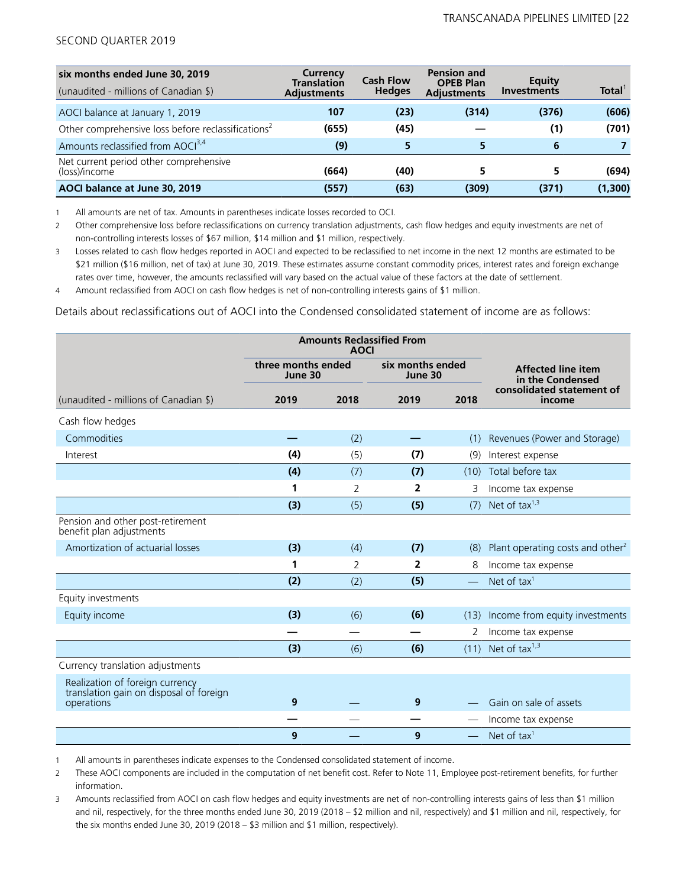| six months ended June 30, 2019<br>(unaudited - millions of Canadian \$) | Currency<br><b>Translation</b><br><b>Adiustments</b> | <b>Cash Flow</b><br><b>Hedges</b> | <b>Pension and</b><br><b>OPEB Plan</b><br><b>Adjustments</b> | Equity<br><b>Investments</b> | Total <sup>'</sup> |
|-------------------------------------------------------------------------|------------------------------------------------------|-----------------------------------|--------------------------------------------------------------|------------------------------|--------------------|
| AOCI balance at January 1, 2019                                         | 107                                                  | (23)                              | (314)                                                        | (376)                        | (606)              |
| Other comprehensive loss before reclassifications <sup>2</sup>          | (655)                                                | (45)                              |                                                              | (1)                          | (701)              |
| Amounts reclassified from AOCI <sup>3,4</sup>                           | (9)                                                  | 5                                 |                                                              | 6                            |                    |
| Net current period other comprehensive<br>(loss)/income                 | (664)                                                | (40)                              |                                                              |                              | (694)              |
| AOCI balance at June 30, 2019                                           | (557)                                                | (63)                              | (309)                                                        | (371)                        | (1,300)            |

1 All amounts are net of tax. Amounts in parentheses indicate losses recorded to OCI.

2 Other comprehensive loss before reclassifications on currency translation adjustments, cash flow hedges and equity investments are net of non-controlling interests losses of \$67 million, \$14 million and \$1 million, respectively.

3 Losses related to cash flow hedges reported in AOCI and expected to be reclassified to net income in the next 12 months are estimated to be \$21 million (\$16 million, net of tax) at June 30, 2019. These estimates assume constant commodity prices, interest rates and foreign exchange rates over time, however, the amounts reclassified will vary based on the actual value of these factors at the date of settlement.

4 Amount reclassified from AOCI on cash flow hedges is net of non-controlling interests gains of \$1 million.

Details about reclassifications out of AOCI into the Condensed consolidated statement of income are as follows:

|                                                                                          |                               | <b>AOCI</b> | <b>Amounts Reclassified From</b> |          |                                               |
|------------------------------------------------------------------------------------------|-------------------------------|-------------|----------------------------------|----------|-----------------------------------------------|
|                                                                                          | three months ended<br>June 30 |             | six months ended<br>June 30      |          | <b>Affected line item</b><br>in the Condensed |
| (unaudited - millions of Canadian \$)                                                    | 2019                          | 2018        | 2019                             | 2018     | consolidated statement of<br>income           |
| Cash flow hedges                                                                         |                               |             |                                  |          |                                               |
| Commodities                                                                              |                               | (2)         |                                  | (1)      | Revenues (Power and Storage)                  |
| Interest                                                                                 | (4)                           | (5)         | (7)                              | (9)      | Interest expense                              |
|                                                                                          | (4)                           | (7)         | (7)                              | (10)     | Total before tax                              |
|                                                                                          | 1                             | 2           | $\overline{2}$                   | 3        | Income tax expense                            |
|                                                                                          | (3)                           | (5)         | (5)                              | (7)      | Net of tax $1,3$                              |
| Pension and other post-retirement<br>benefit plan adjustments                            |                               |             |                                  |          |                                               |
| Amortization of actuarial losses                                                         | (3)                           | (4)         | (7)                              | (8)      | Plant operating costs and other <sup>2</sup>  |
|                                                                                          | 1                             | 2           | 2                                | 8        | Income tax expense                            |
|                                                                                          | (2)                           | (2)         | (5)                              |          | Net of tax <sup>1</sup>                       |
| Equity investments                                                                       |                               |             |                                  |          |                                               |
| Equity income                                                                            | (3)                           | (6)         | (6)                              | (13)     | Income from equity investments                |
|                                                                                          |                               |             |                                  | 2        | Income tax expense                            |
|                                                                                          | (3)                           | (6)         | (6)                              |          | $(11)$ Net of tax <sup>1,3</sup>              |
| Currency translation adjustments                                                         |                               |             |                                  |          |                                               |
| Realization of foreign currency<br>translation gain on disposal of foreign<br>operations | 9                             |             | 9                                |          | Gain on sale of assets                        |
|                                                                                          |                               |             |                                  |          | Income tax expense                            |
|                                                                                          | 9                             |             | 9                                | $\equiv$ | Net of tax $1$                                |

1 All amounts in parentheses indicate expenses to the Condensed consolidated statement of income.

2 These AOCI components are included in the computation of net benefit cost. Refer to Note 11, Employee post-retirement benefits, for further information.

3 Amounts reclassified from AOCI on cash flow hedges and equity investments are net of non-controlling interests gains of less than \$1 million and nil, respectively, for the three months ended June 30, 2019 (2018 – \$2 million and nil, respectively) and \$1 million and nil, respectively, for the six months ended June 30, 2019 (2018 – \$3 million and \$1 million, respectively).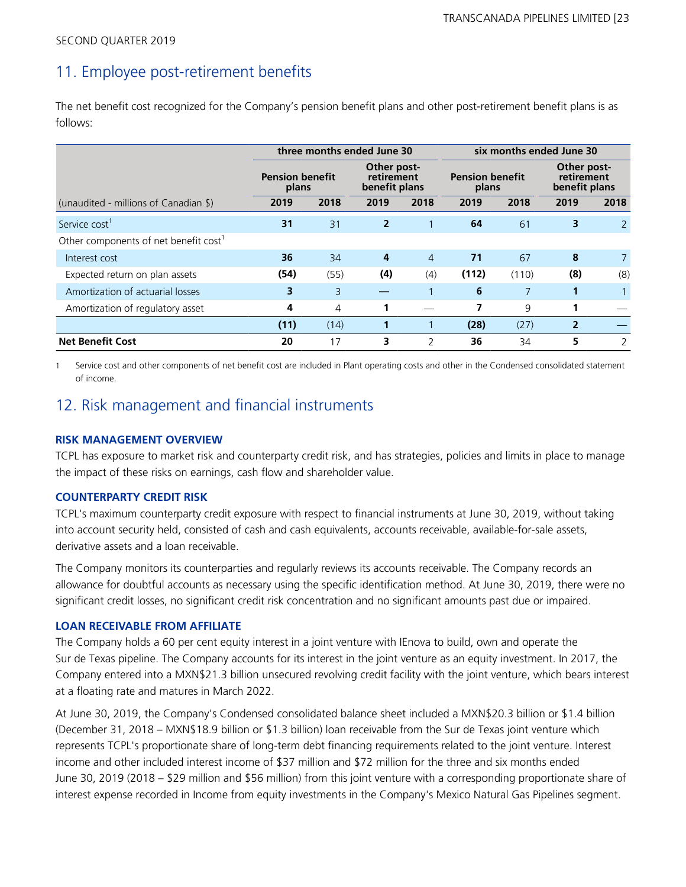# 11. Employee post-retirement benefits

The net benefit cost recognized for the Company's pension benefit plans and other post-retirement benefit plans is as follows:

|                                                   |      | three months ended June 30                                                                                       |                |                |       | six months ended June 30                   |                |               |  |
|---------------------------------------------------|------|------------------------------------------------------------------------------------------------------------------|----------------|----------------|-------|--------------------------------------------|----------------|---------------|--|
|                                                   |      | Other post-<br><b>Pension benefit</b><br><b>Pension benefit</b><br>retirement<br>benefit plans<br>plans<br>plans |                |                |       | Other post-<br>retirement<br>benefit plans |                |               |  |
| (unaudited - millions of Canadian \$)             | 2019 | 2018                                                                                                             | 2019           | 2018           | 2019  | 2018                                       | 2019           | 2018          |  |
| Service cost <sup>1</sup>                         | 31   | 31                                                                                                               | $\overline{2}$ |                | 64    | 61                                         | 3              | <sup>2</sup>  |  |
| Other components of net benefit cost <sup>1</sup> |      |                                                                                                                  |                |                |       |                                            |                |               |  |
| Interest cost                                     | 36   | 34                                                                                                               | 4              | $\overline{4}$ | 71    | 67                                         | 8              |               |  |
| Expected return on plan assets                    | (54) | (55)                                                                                                             | (4)            | (4)            | (112) | (110)                                      | (8)            | (8)           |  |
| Amortization of actuarial losses                  | 3    | 3                                                                                                                |                |                | 6     | 7                                          | 1              |               |  |
| Amortization of regulatory asset                  | 4    | 4                                                                                                                |                |                |       | 9                                          | 1              |               |  |
|                                                   | (11) | (14)                                                                                                             |                |                | (28)  | (27)                                       | $\overline{2}$ |               |  |
| <b>Net Benefit Cost</b>                           | 20   | 17                                                                                                               | 3              | $\mathcal{P}$  | 36    | 34                                         | 5              | $\mathcal{P}$ |  |

Service cost and other components of net benefit cost are included in Plant operating costs and other in the Condensed consolidated statement of income.

# 12. Risk management and financial instruments

# **RISK MANAGEMENT OVERVIEW**

TCPL has exposure to market risk and counterparty credit risk, and has strategies, policies and limits in place to manage the impact of these risks on earnings, cash flow and shareholder value.

### **COUNTERPARTY CREDIT RISK**

TCPL's maximum counterparty credit exposure with respect to financial instruments at June 30, 2019, without taking into account security held, consisted of cash and cash equivalents, accounts receivable, available-for-sale assets, derivative assets and a loan receivable.

The Company monitors its counterparties and regularly reviews its accounts receivable. The Company records an allowance for doubtful accounts as necessary using the specific identification method. At June 30, 2019, there were no significant credit losses, no significant credit risk concentration and no significant amounts past due or impaired.

# **LOAN RECEIVABLE FROM AFFILIATE**

The Company holds a 60 per cent equity interest in a joint venture with IEnova to build, own and operate the Sur de Texas pipeline. The Company accounts for its interest in the joint venture as an equity investment. In 2017, the Company entered into a MXN\$21.3 billion unsecured revolving credit facility with the joint venture, which bears interest at a floating rate and matures in March 2022.

At June 30, 2019, the Company's Condensed consolidated balance sheet included a MXN\$20.3 billion or \$1.4 billion (December 31, 2018 – MXN\$18.9 billion or \$1.3 billion) loan receivable from the Sur de Texas joint venture which represents TCPL's proportionate share of long-term debt financing requirements related to the joint venture. Interest income and other included interest income of \$37 million and \$72 million for the three and six months ended June 30, 2019 (2018 – \$29 million and \$56 million) from this joint venture with a corresponding proportionate share of interest expense recorded in Income from equity investments in the Company's Mexico Natural Gas Pipelines segment.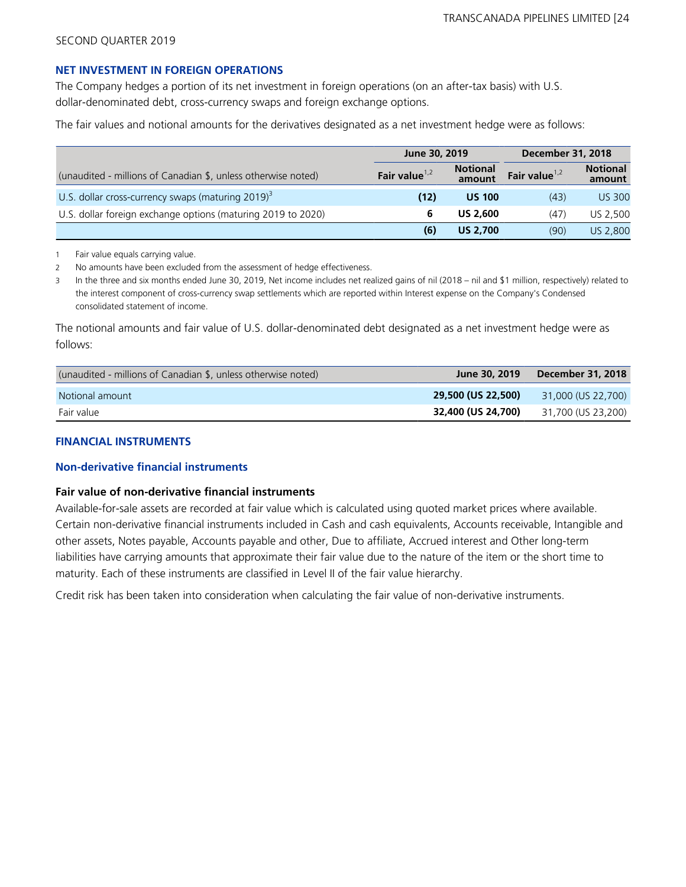### **NET INVESTMENT IN FOREIGN OPERATIONS**

The Company hedges a portion of its net investment in foreign operations (on an after-tax basis) with U.S. dollar-denominated debt, cross-currency swaps and foreign exchange options.

The fair values and notional amounts for the derivatives designated as a net investment hedge were as follows:

|                                                                  |                  | June 30, 2019             |                  | <b>December 31, 2018</b>  |
|------------------------------------------------------------------|------------------|---------------------------|------------------|---------------------------|
| (unaudited - millions of Canadian \$, unless otherwise noted)    | Fair value $1,2$ | <b>Notional</b><br>amount | Fair value $1,2$ | <b>Notional</b><br>amount |
| U.S. dollar cross-currency swaps (maturing $2019$ ) <sup>3</sup> | (12)             | <b>US 100</b>             | (43)             | <b>US 300</b>             |
| U.S. dollar foreign exchange options (maturing 2019 to 2020)     | 6                | <b>US 2,600</b>           | (47)             | US 2.500                  |
|                                                                  | (6)              | <b>US 2.700</b>           | (90)             | US 2,800                  |

1 Fair value equals carrying value.

2 No amounts have been excluded from the assessment of hedge effectiveness.

3 In the three and six months ended June 30, 2019, Net income includes net realized gains of nil (2018 – nil and \$1 million, respectively) related to the interest component of cross-currency swap settlements which are reported within Interest expense on the Company's Condensed consolidated statement of income.

The notional amounts and fair value of U.S. dollar-denominated debt designated as a net investment hedge were as follows:

| (unaudited - millions of Canadian \$, unless otherwise noted) | June 30, 2019      | December 31, 2018  |
|---------------------------------------------------------------|--------------------|--------------------|
| Notional amount                                               | 29,500 (US 22,500) | 31,000 (US 22,700) |
| Fair value                                                    | 32,400 (US 24,700) | 31,700 (US 23,200) |

### **FINANCIAL INSTRUMENTS**

### **Non-derivative financial instruments**

### **Fair value of non-derivative financial instruments**

Available-for-sale assets are recorded at fair value which is calculated using quoted market prices where available. Certain non-derivative financial instruments included in Cash and cash equivalents, Accounts receivable, Intangible and other assets, Notes payable, Accounts payable and other, Due to affiliate, Accrued interest and Other long-term liabilities have carrying amounts that approximate their fair value due to the nature of the item or the short time to maturity. Each of these instruments are classified in Level II of the fair value hierarchy.

Credit risk has been taken into consideration when calculating the fair value of non-derivative instruments.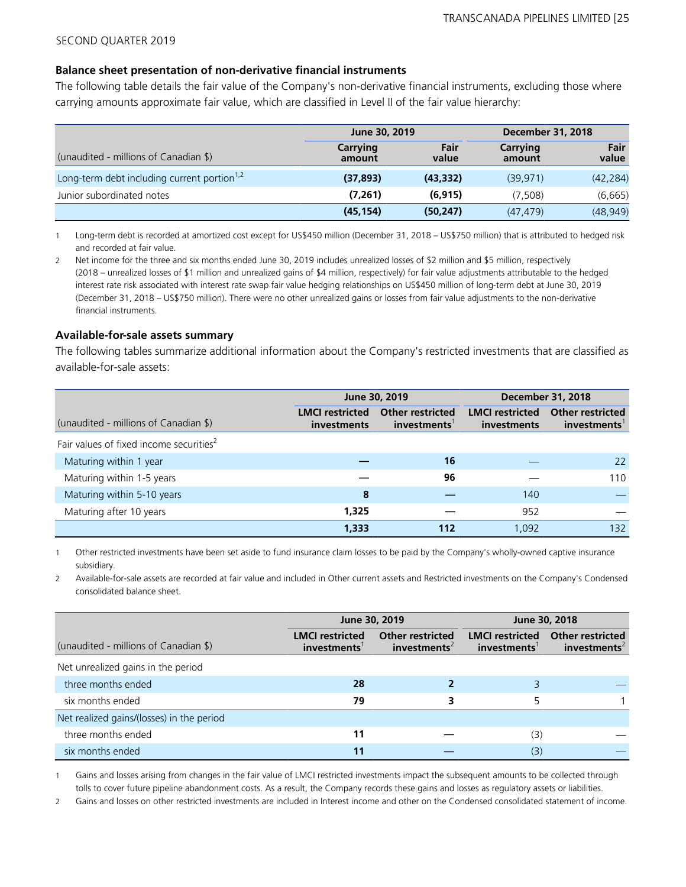#### **Balance sheet presentation of non-derivative financial instruments**

The following table details the fair value of the Company's non-derivative financial instruments, excluding those where carrying amounts approximate fair value, which are classified in Level II of the fair value hierarchy:

|                                                         | June 30, 2019      |               |                    | <b>December 31, 2018</b> |  |  |
|---------------------------------------------------------|--------------------|---------------|--------------------|--------------------------|--|--|
| (unaudited - millions of Canadian \$)                   | Carrying<br>amount | Fair<br>value | Carrying<br>amount | Fair<br>value            |  |  |
| Long-term debt including current portion <sup>1,2</sup> | (37, 893)          | (43, 332)     | (39.971)           | (42, 284)                |  |  |
| Junior subordinated notes                               | (7,261)            | (6, 915)      | (7.508)            | (6,665)                  |  |  |
|                                                         | (45, 154)          | (50, 247)     | (47.479)           | (48, 949)                |  |  |

1 Long-term debt is recorded at amortized cost except for US\$450 million (December 31, 2018 – US\$750 million) that is attributed to hedged risk and recorded at fair value.

2 Net income for the three and six months ended June 30, 2019 includes unrealized losses of \$2 million and \$5 million, respectively (2018 – unrealized losses of \$1 million and unrealized gains of \$4 million, respectively) for fair value adjustments attributable to the hedged interest rate risk associated with interest rate swap fair value hedging relationships on US\$450 million of long-term debt at June 30, 2019 (December 31, 2018 – US\$750 million). There were no other unrealized gains or losses from fair value adjustments to the non-derivative financial instruments.

#### **Available-for-sale assets summary**

The following tables summarize additional information about the Company's restricted investments that are classified as available-for-sale assets:

|                                                     |                                              | June 30, 2019                          | <b>December 31, 2018</b>              |                                               |  |
|-----------------------------------------------------|----------------------------------------------|----------------------------------------|---------------------------------------|-----------------------------------------------|--|
| (unaudited - millions of Canadian \$)               | <b>LMCI</b> restricted<br><i>investments</i> | <b>Other restricted</b><br>investments | <b>LMCI</b> restricted<br>investments | <b>Other restricted</b><br>$in$ vestments $1$ |  |
| Fair values of fixed income securities <sup>2</sup> |                                              |                                        |                                       |                                               |  |
| Maturing within 1 year                              |                                              | 16                                     |                                       | 22                                            |  |
| Maturing within 1-5 years                           |                                              | 96                                     |                                       | 110                                           |  |
| Maturing within 5-10 years                          | 8                                            |                                        | 140                                   |                                               |  |
| Maturing after 10 years                             | 1,325                                        |                                        | 952                                   |                                               |  |
|                                                     | 1,333                                        | 112                                    | 1.092                                 | 132                                           |  |

1 Other restricted investments have been set aside to fund insurance claim losses to be paid by the Company's wholly-owned captive insurance subsidiary.

2 Available-for-sale assets are recorded at fair value and included in Other current assets and Restricted investments on the Company's Condensed consolidated balance sheet.

|                                           |                                                    | June 30, 2019                                       | June 30, 2018                                      |                                                     |  |
|-------------------------------------------|----------------------------------------------------|-----------------------------------------------------|----------------------------------------------------|-----------------------------------------------------|--|
| (unaudited - millions of Canadian \$)     | <b>LMCI</b> restricted<br>investments <sup>1</sup> | <b>Other restricted</b><br>investments <sup>2</sup> | <b>LMCI</b> restricted<br>investments <sup>1</sup> | <b>Other restricted</b><br>investments <sup>2</sup> |  |
| Net unrealized gains in the period        |                                                    |                                                     |                                                    |                                                     |  |
| three months ended                        | 28                                                 |                                                     |                                                    |                                                     |  |
| six months ended                          | 79                                                 | 3                                                   | 5                                                  |                                                     |  |
| Net realized gains/(losses) in the period |                                                    |                                                     |                                                    |                                                     |  |
| three months ended                        | 11                                                 |                                                     | (3)                                                |                                                     |  |
| six months ended                          | 11                                                 |                                                     | (3)                                                |                                                     |  |

1 Gains and losses arising from changes in the fair value of LMCI restricted investments impact the subsequent amounts to be collected through tolls to cover future pipeline abandonment costs. As a result, the Company records these gains and losses as regulatory assets or liabilities.

2 Gains and losses on other restricted investments are included in Interest income and other on the Condensed consolidated statement of income.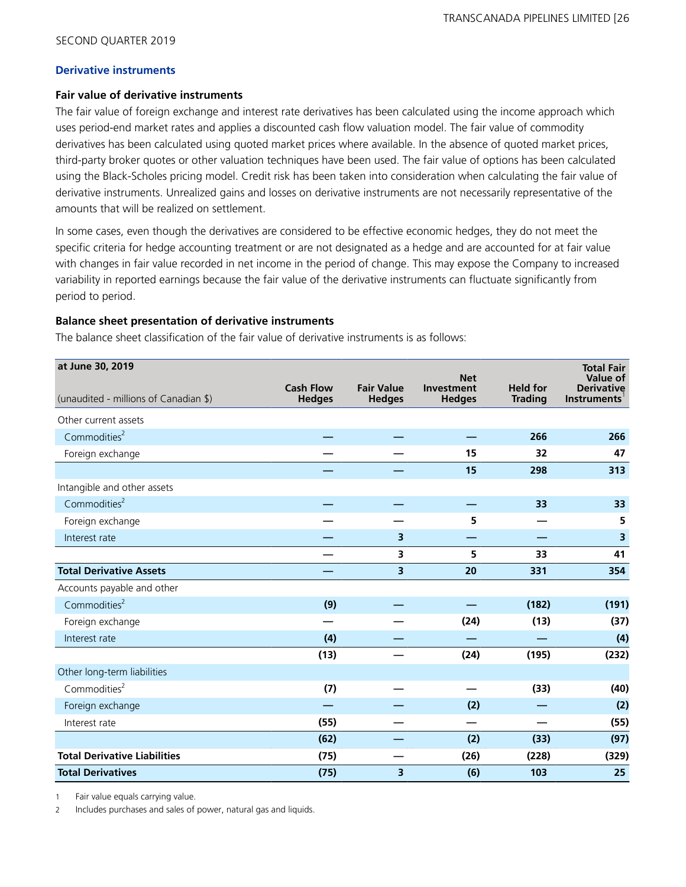### **Derivative instruments**

### **Fair value of derivative instruments**

The fair value of foreign exchange and interest rate derivatives has been calculated using the income approach which uses period-end market rates and applies a discounted cash flow valuation model. The fair value of commodity derivatives has been calculated using quoted market prices where available. In the absence of quoted market prices, third-party broker quotes or other valuation techniques have been used. The fair value of options has been calculated using the Black-Scholes pricing model. Credit risk has been taken into consideration when calculating the fair value of derivative instruments. Unrealized gains and losses on derivative instruments are not necessarily representative of the amounts that will be realized on settlement.

In some cases, even though the derivatives are considered to be effective economic hedges, they do not meet the specific criteria for hedge accounting treatment or are not designated as a hedge and are accounted for at fair value with changes in fair value recorded in net income in the period of change. This may expose the Company to increased variability in reported earnings because the fair value of the derivative instruments can fluctuate significantly from period to period.

# **Balance sheet presentation of derivative instruments**

The balance sheet classification of the fair value of derivative instruments is as follows:

| at June 30, 2019                      |                                   |                                    | <b>Net</b>                  |                                   | <b>Total Fair</b><br>Value of           |
|---------------------------------------|-----------------------------------|------------------------------------|-----------------------------|-----------------------------------|-----------------------------------------|
| (unaudited - millions of Canadian \$) | <b>Cash Flow</b><br><b>Hedges</b> | <b>Fair Value</b><br><b>Hedges</b> | Investment<br><b>Hedges</b> | <b>Held for</b><br><b>Trading</b> | <b>Derivative</b><br><b>Instruments</b> |
| Other current assets                  |                                   |                                    |                             |                                   |                                         |
| Commodities <sup>2</sup>              |                                   |                                    |                             | 266                               | 266                                     |
| Foreign exchange                      |                                   |                                    | 15                          | 32                                | 47                                      |
|                                       |                                   |                                    | 15                          | 298                               | 313                                     |
| Intangible and other assets           |                                   |                                    |                             |                                   |                                         |
| Commodities <sup>2</sup>              |                                   |                                    |                             | 33                                | 33                                      |
| Foreign exchange                      |                                   |                                    | 5                           |                                   | 5                                       |
| Interest rate                         |                                   | 3                                  |                             |                                   | $\overline{\mathbf{3}}$                 |
|                                       |                                   | 3                                  | 5                           | 33                                | 41                                      |
| <b>Total Derivative Assets</b>        |                                   | 3                                  | 20                          | 331                               | 354                                     |
| Accounts payable and other            |                                   |                                    |                             |                                   |                                         |
| Commodities <sup>2</sup>              | (9)                               |                                    |                             | (182)                             | (191)                                   |
| Foreign exchange                      |                                   |                                    | (24)                        | (13)                              | (37)                                    |
| Interest rate                         | (4)                               |                                    |                             |                                   | (4)                                     |
|                                       | (13)                              |                                    | (24)                        | (195)                             | (232)                                   |
| Other long-term liabilities           |                                   |                                    |                             |                                   |                                         |
| Commodities <sup>2</sup>              | (7)                               |                                    |                             | (33)                              | (40)                                    |
| Foreign exchange                      |                                   |                                    | (2)                         |                                   | (2)                                     |
| Interest rate                         | (55)                              |                                    |                             |                                   | (55)                                    |
|                                       | (62)                              |                                    | (2)                         | (33)                              | (97)                                    |
| <b>Total Derivative Liabilities</b>   | (75)                              |                                    | (26)                        | (228)                             | (329)                                   |
| <b>Total Derivatives</b>              | (75)                              | 3                                  | (6)                         | 103                               | 25                                      |

1 Fair value equals carrying value.

2 Includes purchases and sales of power, natural gas and liquids.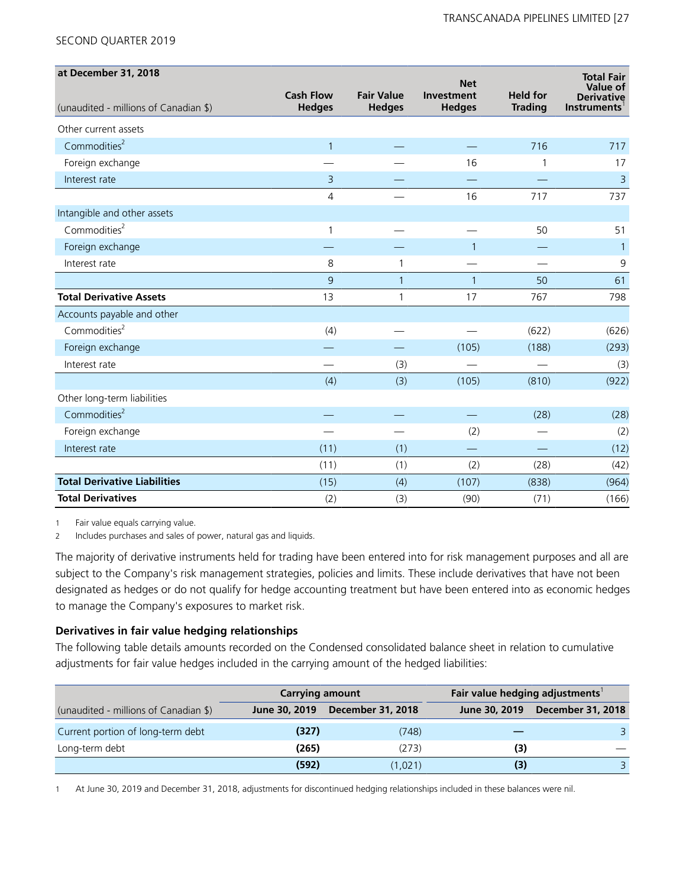| at December 31, 2018                  |                  |                   | <b>Net</b>    |                 | <b>Total Fair</b>             |
|---------------------------------------|------------------|-------------------|---------------|-----------------|-------------------------------|
|                                       | <b>Cash Flow</b> | <b>Fair Value</b> | Investment    | <b>Held for</b> | Value of<br><b>Derivative</b> |
| (unaudited - millions of Canadian \$) | <b>Hedges</b>    | <b>Hedges</b>     | <b>Hedges</b> | <b>Trading</b>  | <b>Instruments</b>            |
| Other current assets                  |                  |                   |               |                 |                               |
| Commodities <sup>2</sup>              | $\mathbf{1}$     |                   |               | 716             | 717                           |
| Foreign exchange                      |                  |                   | 16            | 1               | 17                            |
| Interest rate                         | 3                |                   |               |                 | $\overline{3}$                |
|                                       | 4                |                   | 16            | 717             | 737                           |
| Intangible and other assets           |                  |                   |               |                 |                               |
| Commodities <sup>2</sup>              | 1                |                   |               | 50              | 51                            |
| Foreign exchange                      |                  |                   | $\mathbf{1}$  |                 | $\mathbf{1}$                  |
| Interest rate                         | 8                | 1                 |               |                 | 9                             |
|                                       | 9                | $\mathbf{1}$      | $\mathbf{1}$  | 50              | 61                            |
| <b>Total Derivative Assets</b>        | 13               | 1                 | 17            | 767             | 798                           |
| Accounts payable and other            |                  |                   |               |                 |                               |
| Commodities <sup>2</sup>              | (4)              |                   |               | (622)           | (626)                         |
| Foreign exchange                      |                  |                   | (105)         | (188)           | (293)                         |
| Interest rate                         |                  | (3)               |               |                 | (3)                           |
|                                       | (4)              | (3)               | (105)         | (810)           | (922)                         |
| Other long-term liabilities           |                  |                   |               |                 |                               |
| Commodities <sup>2</sup>              |                  |                   |               | (28)            | (28)                          |
| Foreign exchange                      |                  |                   | (2)           |                 | (2)                           |
| Interest rate                         | (11)             | (1)               |               |                 | (12)                          |
|                                       | (11)             | (1)               | (2)           | (28)            | (42)                          |
| <b>Total Derivative Liabilities</b>   | (15)             | (4)               | (107)         | (838)           | (964)                         |
| <b>Total Derivatives</b>              | (2)              | (3)               | (90)          | (71)            | (166)                         |

1 Fair value equals carrying value.

2 Includes purchases and sales of power, natural gas and liquids.

The majority of derivative instruments held for trading have been entered into for risk management purposes and all are subject to the Company's risk management strategies, policies and limits. These include derivatives that have not been designated as hedges or do not qualify for hedge accounting treatment but have been entered into as economic hedges to manage the Company's exposures to market risk.

# **Derivatives in fair value hedging relationships**

The following table details amounts recorded on the Condensed consolidated balance sheet in relation to cumulative adjustments for fair value hedges included in the carrying amount of the hedged liabilities:

|                                       | <b>Carrying amount</b> |                          | Fair value hedging adjustments |                          |
|---------------------------------------|------------------------|--------------------------|--------------------------------|--------------------------|
| (unaudited - millions of Canadian \$) | June 30, 2019          | <b>December 31, 2018</b> | June 30, 2019                  | <b>December 31, 2018</b> |
| Current portion of long-term debt     | (327)                  | (748)                    |                                |                          |
| Long-term debt                        | (265)                  | (273)                    | (3)                            |                          |
|                                       | (592)                  | (1,021)                  | (3)                            |                          |

1 At June 30, 2019 and December 31, 2018, adjustments for discontinued hedging relationships included in these balances were nil.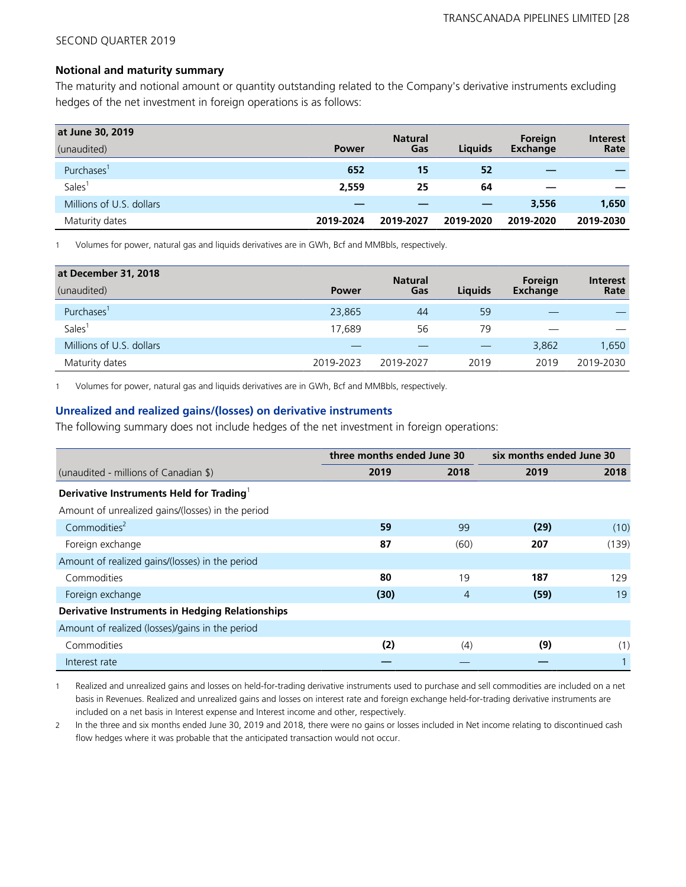### **Notional and maturity summary**

The maturity and notional amount or quantity outstanding related to the Company's derivative instruments excluding hedges of the net investment in foreign operations is as follows:

| at June 30, 2019         |              | <b>Natural</b> |                | Foreign   | <b>Interest</b> |
|--------------------------|--------------|----------------|----------------|-----------|-----------------|
| (unaudited)              | <b>Power</b> | Gas            | <b>Liquids</b> | Exchange  | Rate            |
| Purchases'               | 652          | 15             | 52             | _         |                 |
| Sales <sup>1</sup>       | 2,559        | 25             | 64             |           |                 |
| Millions of U.S. dollars |              |                |                | 3,556     | 1,650           |
| Maturity dates           | 2019-2024    | 2019-2027      | 2019-2020      | 2019-2020 | 2019-2030       |

1 Volumes for power, natural gas and liquids derivatives are in GWh, Bcf and MMBbls, respectively.

| at December 31, 2018     |              | <b>Natural</b> |                | Foreign  | <b>Interest</b> |
|--------------------------|--------------|----------------|----------------|----------|-----------------|
| (unaudited)              | <b>Power</b> | Gas            | <b>Liquids</b> | Exchange | Rate            |
| Purchases'               | 23,865       | 44             | 59             |          |                 |
| <b>Sales</b>             | 17.689       | 56             | 79             |          |                 |
| Millions of U.S. dollars |              |                |                | 3,862    | 1.650           |
| Maturity dates           | 2019-2023    | 2019-2027      | 2019           | 2019     | 2019-2030       |

1 Volumes for power, natural gas and liquids derivatives are in GWh, Bcf and MMBbls, respectively.

### **Unrealized and realized gains/(losses) on derivative instruments**

The following summary does not include hedges of the net investment in foreign operations:

|                                                        | three months ended June 30 |      | six months ended June 30 |       |  |
|--------------------------------------------------------|----------------------------|------|--------------------------|-------|--|
| (unaudited - millions of Canadian \$)                  | 2019                       | 2018 | 2019                     | 2018  |  |
| Derivative Instruments Held for Trading                |                            |      |                          |       |  |
| Amount of unrealized gains/(losses) in the period      |                            |      |                          |       |  |
| Commodities <sup>2</sup>                               | 59                         | 99   | (29)                     | (10)  |  |
| Foreign exchange                                       | 87                         | (60) | 207                      | (139) |  |
| Amount of realized gains/(losses) in the period        |                            |      |                          |       |  |
| Commodities                                            | 80                         | 19   | 187                      | 129   |  |
| Foreign exchange                                       | (30)                       | 4    | (59)                     | 19    |  |
| <b>Derivative Instruments in Hedging Relationships</b> |                            |      |                          |       |  |
| Amount of realized (losses)/gains in the period        |                            |      |                          |       |  |
| Commodities                                            | (2)                        | (4)  | (9)                      | (1)   |  |
| Interest rate                                          |                            |      |                          |       |  |

1 Realized and unrealized gains and losses on held-for-trading derivative instruments used to purchase and sell commodities are included on a net basis in Revenues. Realized and unrealized gains and losses on interest rate and foreign exchange held-for-trading derivative instruments are included on a net basis in Interest expense and Interest income and other, respectively.

2 In the three and six months ended June 30, 2019 and 2018, there were no gains or losses included in Net income relating to discontinued cash flow hedges where it was probable that the anticipated transaction would not occur.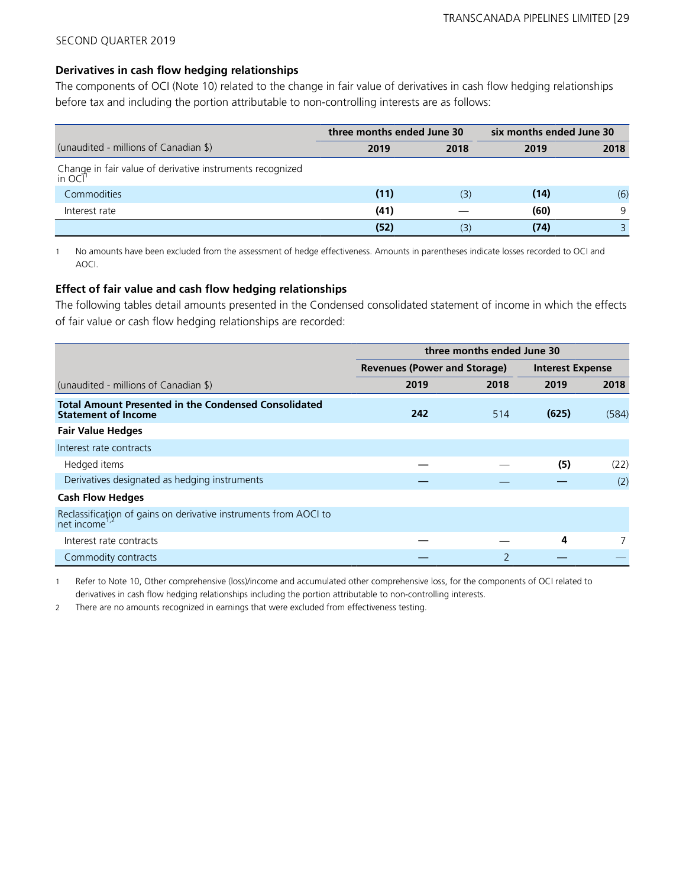### **Derivatives in cash flow hedging relationships**

The components of OCI (Note 10) related to the change in fair value of derivatives in cash flow hedging relationships before tax and including the portion attributable to non-controlling interests are as follows:

|                                                                                  | three months ended June 30 |      | six months ended June 30 |      |  |
|----------------------------------------------------------------------------------|----------------------------|------|--------------------------|------|--|
| (unaudited - millions of Canadian \$)                                            | 2019                       | 2018 | 2019                     | 2018 |  |
| Change in fair value of derivative instruments recognized<br>in OCI <sup>1</sup> |                            |      |                          |      |  |
| Commodities                                                                      | (11)                       | (3)  | (14)                     | (6)  |  |
| Interest rate                                                                    | (41)                       |      | (60)                     | 9    |  |
|                                                                                  | (52)                       | (3)  | (74)                     |      |  |

1 No amounts have been excluded from the assessment of hedge effectiveness. Amounts in parentheses indicate losses recorded to OCI and AOCI.

# **Effect of fair value and cash flow hedging relationships**

The following tables detail amounts presented in the Condensed consolidated statement of income in which the effects of fair value or cash flow hedging relationships are recorded:

|                                                                                               | three months ended June 30          |                          |                         |       |  |
|-----------------------------------------------------------------------------------------------|-------------------------------------|--------------------------|-------------------------|-------|--|
|                                                                                               | <b>Revenues (Power and Storage)</b> |                          | <b>Interest Expense</b> |       |  |
| (unaudited - millions of Canadian \$)                                                         | 2019                                | 2018                     | 2019                    | 2018  |  |
| <b>Total Amount Presented in the Condensed Consolidated</b><br><b>Statement of Income</b>     | 242                                 | 514                      | (625)                   | (584) |  |
| <b>Fair Value Hedges</b>                                                                      |                                     |                          |                         |       |  |
| Interest rate contracts                                                                       |                                     |                          |                         |       |  |
| Hedged items                                                                                  |                                     |                          | (5)                     | (22)  |  |
| Derivatives designated as hedging instruments                                                 |                                     |                          |                         | (2)   |  |
| <b>Cash Flow Hedges</b>                                                                       |                                     |                          |                         |       |  |
| Reclassification of gains on derivative instruments from AOCI to<br>net income <sup>1,2</sup> |                                     |                          |                         |       |  |
| Interest rate contracts                                                                       |                                     |                          | 4                       |       |  |
| Commodity contracts                                                                           |                                     | $\overline{\phantom{0}}$ |                         |       |  |

1 Refer to Note 10, Other comprehensive (loss)/income and accumulated other comprehensive loss, for the components of OCI related to derivatives in cash flow hedging relationships including the portion attributable to non-controlling interests.

2 There are no amounts recognized in earnings that were excluded from effectiveness testing.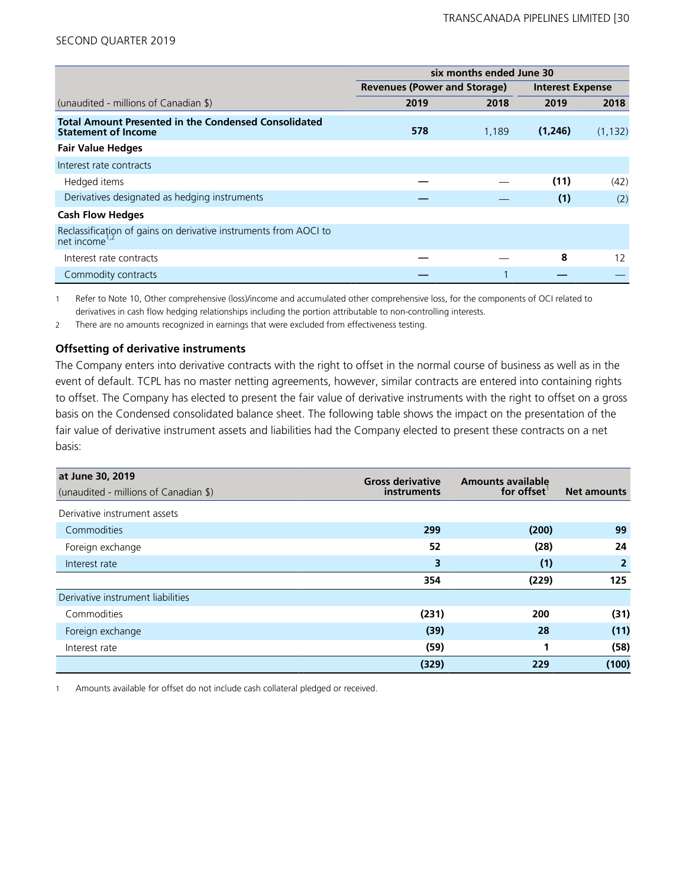|                                                                                               | six months ended June 30            |       |                         |          |  |
|-----------------------------------------------------------------------------------------------|-------------------------------------|-------|-------------------------|----------|--|
|                                                                                               | <b>Revenues (Power and Storage)</b> |       | <b>Interest Expense</b> |          |  |
| (unaudited - millions of Canadian \$)                                                         | 2019                                | 2018  | 2019                    | 2018     |  |
| <b>Total Amount Presented in the Condensed Consolidated</b><br><b>Statement of Income</b>     | 578                                 | 1,189 | (1,246)                 | (1, 132) |  |
| <b>Fair Value Hedges</b>                                                                      |                                     |       |                         |          |  |
| Interest rate contracts                                                                       |                                     |       |                         |          |  |
| Hedged items                                                                                  |                                     |       | (11)                    | (42)     |  |
| Derivatives designated as hedging instruments                                                 |                                     |       | (1)                     | (2)      |  |
| <b>Cash Flow Hedges</b>                                                                       |                                     |       |                         |          |  |
| Reclassificațion of gains on derivative instruments from AOCI to<br>net income <sup>1,2</sup> |                                     |       |                         |          |  |
| Interest rate contracts                                                                       |                                     |       | 8                       | 12       |  |
| Commodity contracts                                                                           |                                     |       |                         |          |  |

1 Refer to Note 10, Other comprehensive (loss)/income and accumulated other comprehensive loss, for the components of OCI related to derivatives in cash flow hedging relationships including the portion attributable to non-controlling interests.

2 There are no amounts recognized in earnings that were excluded from effectiveness testing.

### **Offsetting of derivative instruments**

The Company enters into derivative contracts with the right to offset in the normal course of business as well as in the event of default. TCPL has no master netting agreements, however, similar contracts are entered into containing rights to offset. The Company has elected to present the fair value of derivative instruments with the right to offset on a gross basis on the Condensed consolidated balance sheet. The following table shows the impact on the presentation of the fair value of derivative instrument assets and liabilities had the Company elected to present these contracts on a net basis:

| at June 30, 2019<br>(unaudited - millions of Canadian \$) | <b>Gross derivative</b><br><i>instruments</i> | <b>Amounts available</b><br>for offset | <b>Net amounts</b> |
|-----------------------------------------------------------|-----------------------------------------------|----------------------------------------|--------------------|
| Derivative instrument assets                              |                                               |                                        |                    |
| Commodities                                               | 299                                           | (200)                                  | 99                 |
| Foreign exchange                                          | 52                                            | (28)                                   | 24                 |
| Interest rate                                             | 3                                             | (1)                                    | $\overline{2}$     |
|                                                           | 354                                           | (229)                                  | 125                |
| Derivative instrument liabilities                         |                                               |                                        |                    |
| Commodities                                               | (231)                                         | 200                                    | (31)               |
| Foreign exchange                                          | (39)                                          | 28                                     | (11)               |
| Interest rate                                             | (59)                                          | 1                                      | (58)               |
|                                                           | (329)                                         | 229                                    | (100)              |

1 Amounts available for offset do not include cash collateral pledged or received.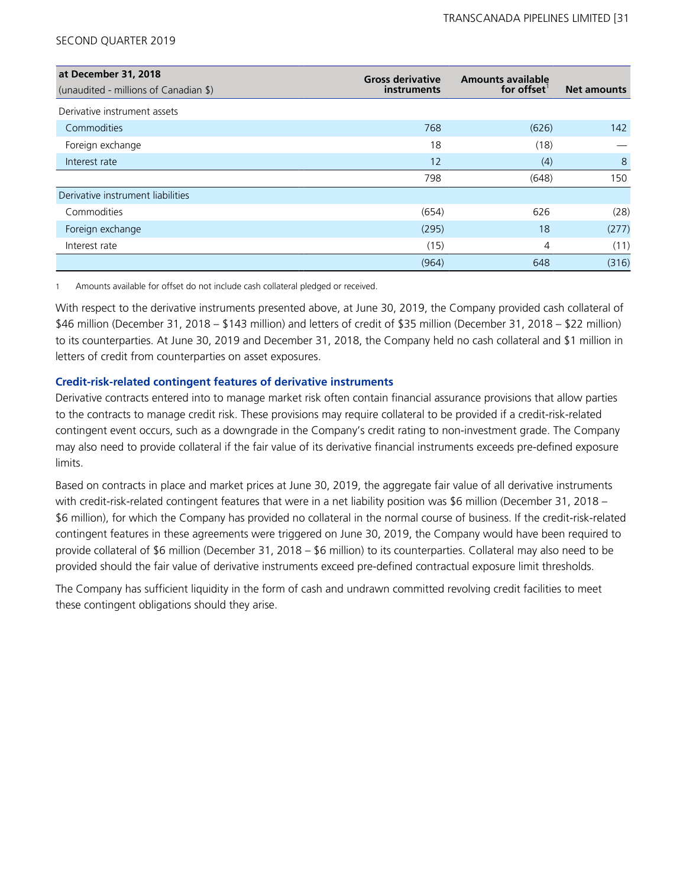| at December 31, 2018<br>(unaudited - millions of Canadian \$) | <b>Gross derivative</b><br>instruments | <b>Amounts available</b><br>for offset | <b>Net amounts</b> |
|---------------------------------------------------------------|----------------------------------------|----------------------------------------|--------------------|
| Derivative instrument assets                                  |                                        |                                        |                    |
| Commodities                                                   | 768                                    | (626)                                  | 142                |
| Foreign exchange                                              | 18                                     | (18)                                   |                    |
| Interest rate                                                 | 12                                     | (4)                                    | 8                  |
|                                                               | 798                                    | (648)                                  | 150                |
| Derivative instrument liabilities                             |                                        |                                        |                    |
| Commodities                                                   | (654)                                  | 626                                    | (28)               |
| Foreign exchange                                              | (295)                                  | 18                                     | (277)              |
| Interest rate                                                 | (15)                                   | 4                                      | (11)               |
|                                                               | (964)                                  | 648                                    | (316)              |

1 Amounts available for offset do not include cash collateral pledged or received.

With respect to the derivative instruments presented above, at June 30, 2019, the Company provided cash collateral of \$46 million (December 31, 2018 – \$143 million) and letters of credit of \$35 million (December 31, 2018 – \$22 million) to its counterparties. At June 30, 2019 and December 31, 2018, the Company held no cash collateral and \$1 million in letters of credit from counterparties on asset exposures.

# **Credit-risk-related contingent features of derivative instruments**

Derivative contracts entered into to manage market risk often contain financial assurance provisions that allow parties to the contracts to manage credit risk. These provisions may require collateral to be provided if a credit-risk-related contingent event occurs, such as a downgrade in the Company's credit rating to non-investment grade. The Company may also need to provide collateral if the fair value of its derivative financial instruments exceeds pre-defined exposure limits.

Based on contracts in place and market prices at June 30, 2019, the aggregate fair value of all derivative instruments with credit-risk-related contingent features that were in a net liability position was \$6 million (December 31, 2018 – \$6 million), for which the Company has provided no collateral in the normal course of business. If the credit-risk-related contingent features in these agreements were triggered on June 30, 2019, the Company would have been required to provide collateral of \$6 million (December 31, 2018 – \$6 million) to its counterparties. Collateral may also need to be provided should the fair value of derivative instruments exceed pre-defined contractual exposure limit thresholds.

The Company has sufficient liquidity in the form of cash and undrawn committed revolving credit facilities to meet these contingent obligations should they arise.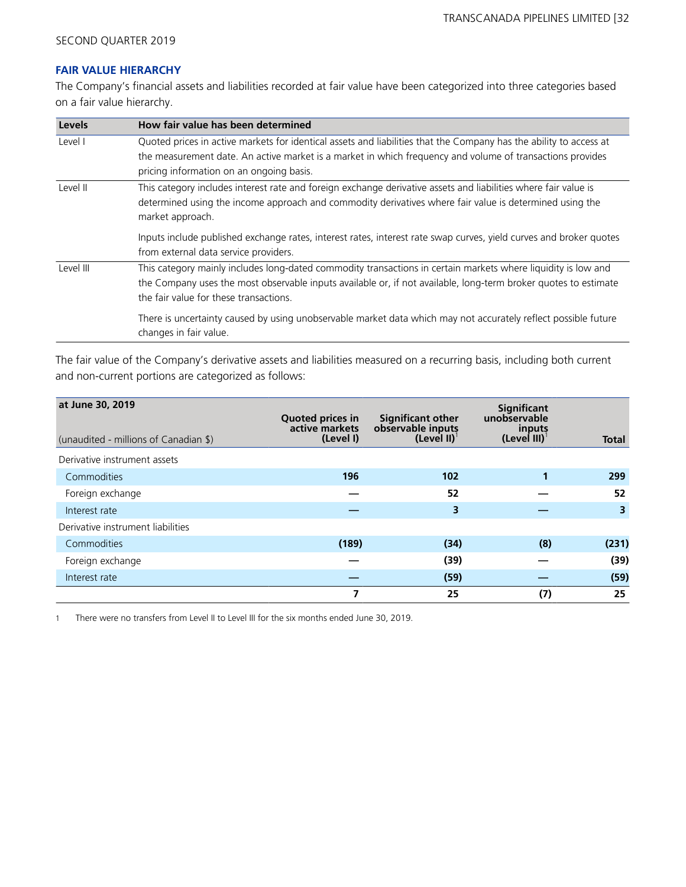### **FAIR VALUE HIERARCHY**

The Company's financial assets and liabilities recorded at fair value have been categorized into three categories based on a fair value hierarchy.

| Levels    | How fair value has been determined                                                                                                                                                                                                                                          |
|-----------|-----------------------------------------------------------------------------------------------------------------------------------------------------------------------------------------------------------------------------------------------------------------------------|
| Level I   | Quoted prices in active markets for identical assets and liabilities that the Company has the ability to access at<br>the measurement date. An active market is a market in which frequency and volume of transactions provides<br>pricing information on an ongoing basis. |
| Level II  | This category includes interest rate and foreign exchange derivative assets and liabilities where fair value is<br>determined using the income approach and commodity derivatives where fair value is determined using the<br>market approach.                              |
|           | Inputs include published exchange rates, interest rates, interest rate swap curves, yield curves and broker quotes<br>from external data service providers.                                                                                                                 |
| Level III | This category mainly includes long-dated commodity transactions in certain markets where liquidity is low and<br>the Company uses the most observable inputs available or, if not available, long-term broker quotes to estimate<br>the fair value for these transactions.  |
|           | There is uncertainty caused by using unobservable market data which may not accurately reflect possible future<br>changes in fair value.                                                                                                                                    |

The fair value of the Company's derivative assets and liabilities measured on a recurring basis, including both current and non-current portions are categorized as follows:

| at June 30, 2019<br>(unaudited - millions of Canadian \$) | <b>Quoted prices in</b><br>active markets<br>(Level I) | <b>Significant other</b><br>observable inputs<br>$(Level II)^{T}$ | <b>Significant</b><br>unobservable<br>inputs<br>$(Level III)^T$ | <b>Total</b> |
|-----------------------------------------------------------|--------------------------------------------------------|-------------------------------------------------------------------|-----------------------------------------------------------------|--------------|
| Derivative instrument assets                              |                                                        |                                                                   |                                                                 |              |
| Commodities                                               | 196                                                    | 102                                                               |                                                                 | 299          |
| Foreign exchange                                          |                                                        | 52                                                                |                                                                 | 52           |
| Interest rate                                             |                                                        | 3                                                                 |                                                                 | 3            |
| Derivative instrument liabilities                         |                                                        |                                                                   |                                                                 |              |
| Commodities                                               | (189)                                                  | (34)                                                              | (8)                                                             | (231)        |
| Foreign exchange                                          |                                                        | (39)                                                              |                                                                 | (39)         |
| Interest rate                                             |                                                        | (59)                                                              |                                                                 | (59)         |
|                                                           | 7                                                      | 25                                                                | (7)                                                             | 25           |

1 There were no transfers from Level II to Level III for the six months ended June 30, 2019.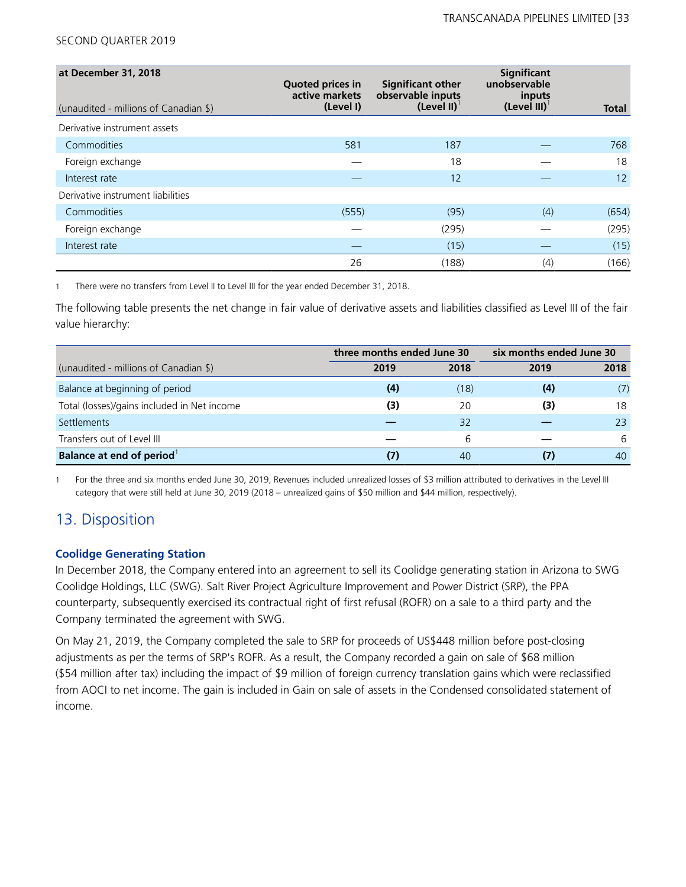| at December 31, 2018<br>(unaudited - millions of Canadian \$) | <b>Quoted prices in</b><br>active markets<br>(Level I) | <b>Significant other</b><br>observable inputs<br>(Level II) $1$ | Significant<br>unobservable<br>inputs<br>$(Level III)^T$ | Total |
|---------------------------------------------------------------|--------------------------------------------------------|-----------------------------------------------------------------|----------------------------------------------------------|-------|
| Derivative instrument assets                                  |                                                        |                                                                 |                                                          |       |
| Commodities                                                   | 581                                                    | 187                                                             |                                                          | 768   |
| Foreign exchange                                              |                                                        | 18                                                              |                                                          | 18    |
| Interest rate                                                 |                                                        | 12                                                              |                                                          | 12    |
| Derivative instrument liabilities                             |                                                        |                                                                 |                                                          |       |
| Commodities                                                   | (555)                                                  | (95)                                                            | (4)                                                      | (654) |
| Foreign exchange                                              |                                                        | (295)                                                           |                                                          | (295) |
| Interest rate                                                 |                                                        | (15)                                                            |                                                          | (15)  |
|                                                               | 26                                                     | (188)                                                           | (4)                                                      | (166) |

1 There were no transfers from Level II to Level III for the year ended December 31, 2018.

The following table presents the net change in fair value of derivative assets and liabilities classified as Level III of the fair value hierarchy:

|                                             | three months ended June 30 |      | six months ended June 30 |      |  |
|---------------------------------------------|----------------------------|------|--------------------------|------|--|
| (unaudited - millions of Canadian \$)       | 2019                       | 2018 | 2019                     | 2018 |  |
| Balance at beginning of period              | (4)                        | (18) | (4)                      | (7)  |  |
| Total (losses)/gains included in Net income | (3)                        | 20   | (3)                      | 18   |  |
| Settlements                                 |                            | 32   |                          | 23   |  |
| Transfers out of Level III                  |                            | 6    |                          | 6    |  |
| Balance at end of period <sup>1</sup>       |                            | 40   | (7)                      | 40   |  |

1 For the three and six months ended June 30, 2019, Revenues included unrealized losses of \$3 million attributed to derivatives in the Level III category that were still held at June 30, 2019 (2018 – unrealized gains of \$50 million and \$44 million, respectively).

# 13. Disposition

# **Coolidge Generating Station**

In December 2018, the Company entered into an agreement to sell its Coolidge generating station in Arizona to SWG Coolidge Holdings, LLC (SWG). Salt River Project Agriculture Improvement and Power District (SRP), the PPA counterparty, subsequently exercised its contractual right of first refusal (ROFR) on a sale to a third party and the Company terminated the agreement with SWG.

On May 21, 2019, the Company completed the sale to SRP for proceeds of US\$448 million before post-closing adjustments as per the terms of SRP's ROFR. As a result, the Company recorded a gain on sale of \$68 million (\$54 million after tax) including the impact of \$9 million of foreign currency translation gains which were reclassified from AOCI to net income. The gain is included in Gain on sale of assets in the Condensed consolidated statement of income.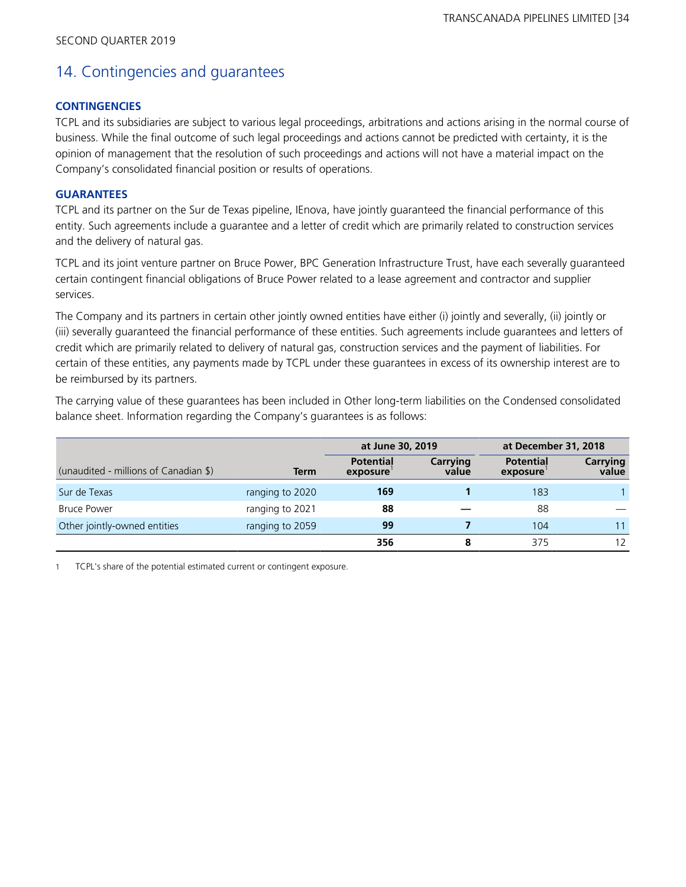# 14. Contingencies and guarantees

## **CONTINGENCIES**

TCPL and its subsidiaries are subject to various legal proceedings, arbitrations and actions arising in the normal course of business. While the final outcome of such legal proceedings and actions cannot be predicted with certainty, it is the opinion of management that the resolution of such proceedings and actions will not have a material impact on the Company's consolidated financial position or results of operations.

### **GUARANTEES**

TCPL and its partner on the Sur de Texas pipeline, IEnova, have jointly guaranteed the financial performance of this entity. Such agreements include a guarantee and a letter of credit which are primarily related to construction services and the delivery of natural gas.

TCPL and its joint venture partner on Bruce Power, BPC Generation Infrastructure Trust, have each severally guaranteed certain contingent financial obligations of Bruce Power related to a lease agreement and contractor and supplier services.

The Company and its partners in certain other jointly owned entities have either (i) jointly and severally, (ii) jointly or (iii) severally guaranteed the financial performance of these entities. Such agreements include guarantees and letters of credit which are primarily related to delivery of natural gas, construction services and the payment of liabilities. For certain of these entities, any payments made by TCPL under these guarantees in excess of its ownership interest are to be reimbursed by its partners.

The carrying value of these guarantees has been included in Other long-term liabilities on the Condensed consolidated balance sheet. Information regarding the Company's guarantees is as follows:

|                                       |                 | at June 30, 2019             |                   | at December 31, 2018         |                          |
|---------------------------------------|-----------------|------------------------------|-------------------|------------------------------|--------------------------|
| (unaudited - millions of Canadian \$) | Term            | <b>Potential</b><br>exposure | Carrying<br>value | <b>Potential</b><br>exposure | <b>Carrying</b><br>value |
| Sur de Texas                          | ranging to 2020 | 169                          |                   | 183                          |                          |
| <b>Bruce Power</b>                    | ranging to 2021 | 88                           |                   | 88                           |                          |
| Other jointly-owned entities          | ranging to 2059 | 99                           |                   | 104                          | 11                       |
|                                       |                 | 356                          | 8                 | 375                          | 12                       |

1 TCPL's share of the potential estimated current or contingent exposure.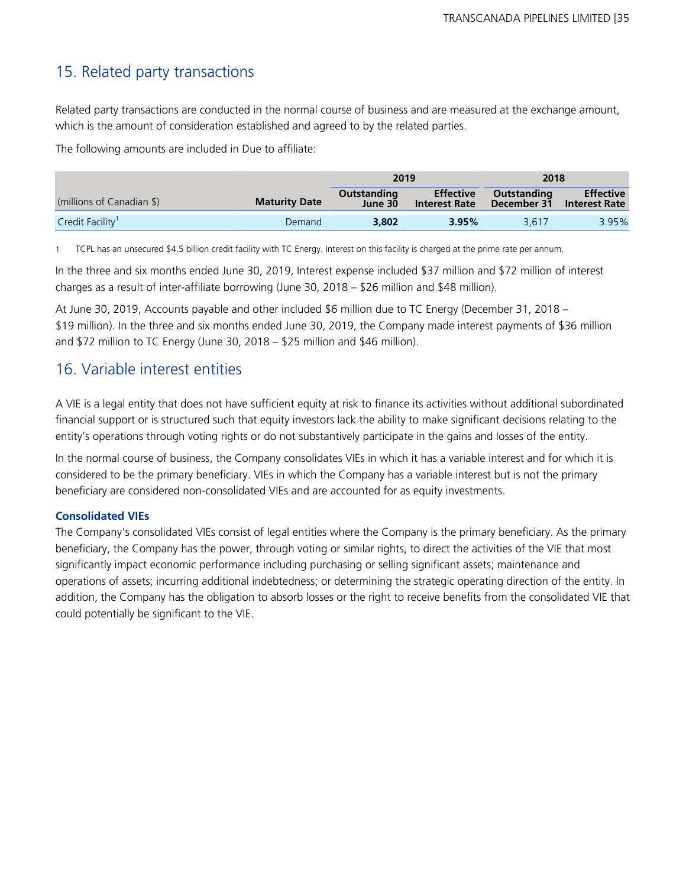# 15. Related party transactions

Related party transactions are conducted in the normal course of business and are measured at the exchange amount, which is the amount of consideration established and agreed to by the related parties.

The following amounts are included in Due to affiliate:

|                              | 2019<br>2018         |                        |                                          |                            |                                          |
|------------------------------|----------------------|------------------------|------------------------------------------|----------------------------|------------------------------------------|
| (millions of Canadian \$)    | <b>Maturity Date</b> | Outstanding<br>June 30 | <b>Effective</b><br><b>Interest Rate</b> | Outstanding<br>December 31 | <b>Effective</b><br><b>Interest Rate</b> |
| Credit Facility <sup>1</sup> | Demand               | 3,802                  | 3.95%                                    | 3.617                      | 3.95%                                    |

1 TCPL has an unsecured \$4.5 billion credit facility with TC Energy. Interest on this facility is charged at the prime rate per annum.

In the three and six months ended June 30, 2019, Interest expense included \$37 million and \$72 million of interest charges as a result of inter-affiliate borrowing (June 30, 2018 – \$26 million and \$48 million).

At June 30, 2019, Accounts payable and other included \$6 million due to TC Energy (December 31, 2018 – \$19 million). In the three and six months ended June 30, 2019, the Company made interest payments of \$36 million and \$72 million to TC Energy (June 30, 2018 – \$25 million and \$46 million).

# 16. Variable interest entities

A VIE is a legal entity that does not have sufficient equity at risk to finance its activities without additional subordinated financial support or is structured such that equity investors lack the ability to make significant decisions relating to the entity's operations through voting rights or do not substantively participate in the gains and losses of the entity.

In the normal course of business, the Company consolidates VIEs in which it has a variable interest and for which it is considered to be the primary beneficiary. VIEs in which the Company has a variable interest but is not the primary beneficiary are considered non-consolidated VIEs and are accounted for as equity investments.

# **Consolidated VIEs**

The Company's consolidated VIEs consist of legal entities where the Company is the primary beneficiary. As the primary beneficiary, the Company has the power, through voting or similar rights, to direct the activities of the VIE that most significantly impact economic performance including purchasing or selling significant assets; maintenance and operations of assets; incurring additional indebtedness; or determining the strategic operating direction of the entity. In addition, the Company has the obligation to absorb losses or the right to receive benefits from the consolidated VIE that could potentially be significant to the VIE.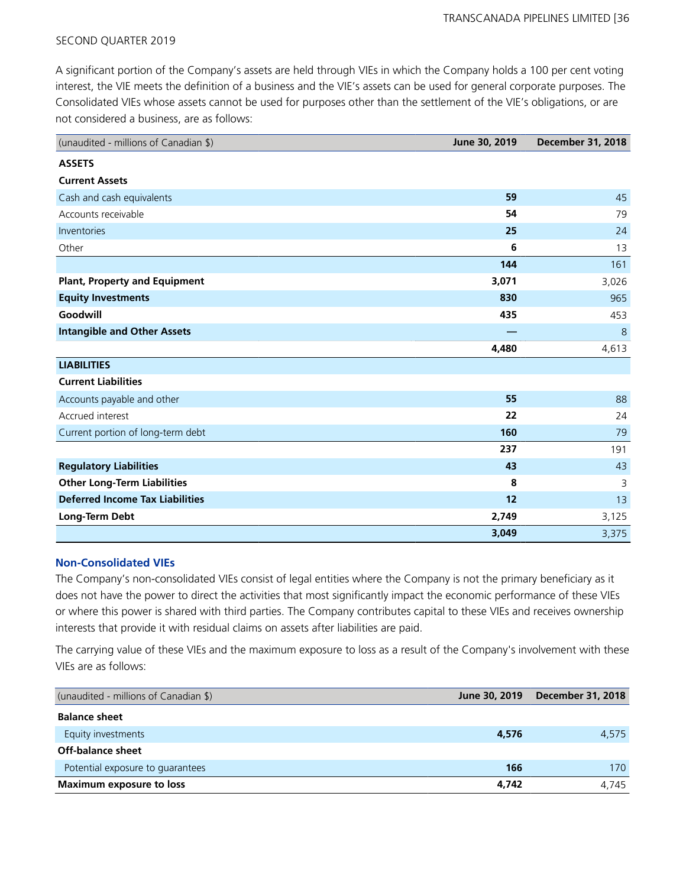A significant portion of the Company's assets are held through VIEs in which the Company holds a 100 per cent voting interest, the VIE meets the definition of a business and the VIE's assets can be used for general corporate purposes. The Consolidated VIEs whose assets cannot be used for purposes other than the settlement of the VIE's obligations, or are not considered a business, are as follows:

| (unaudited - millions of Canadian \$)  | June 30, 2019 | <b>December 31, 2018</b> |
|----------------------------------------|---------------|--------------------------|
| <b>ASSETS</b>                          |               |                          |
| <b>Current Assets</b>                  |               |                          |
| Cash and cash equivalents              | 59            | 45                       |
| Accounts receivable                    | 54            | 79                       |
| Inventories                            | 25            | 24                       |
| Other                                  | 6             | 13                       |
|                                        | 144           | 161                      |
| <b>Plant, Property and Equipment</b>   | 3,071         | 3,026                    |
| <b>Equity Investments</b>              | 830           | 965                      |
| Goodwill                               | 435           | 453                      |
| <b>Intangible and Other Assets</b>     |               | 8                        |
|                                        | 4,480         | 4,613                    |
| <b>LIABILITIES</b>                     |               |                          |
| <b>Current Liabilities</b>             |               |                          |
| Accounts payable and other             | 55            | 88                       |
| Accrued interest                       | 22            | 24                       |
| Current portion of long-term debt      | 160           | 79                       |
|                                        | 237           | 191                      |
| <b>Regulatory Liabilities</b>          | 43            | 43                       |
| <b>Other Long-Term Liabilities</b>     | 8             | 3                        |
| <b>Deferred Income Tax Liabilities</b> | 12            | 13                       |
| Long-Term Debt                         | 2,749         | 3,125                    |
|                                        | 3,049         | 3,375                    |

### **Non-Consolidated VIEs**

The Company's non-consolidated VIEs consist of legal entities where the Company is not the primary beneficiary as it does not have the power to direct the activities that most significantly impact the economic performance of these VIEs or where this power is shared with third parties. The Company contributes capital to these VIEs and receives ownership interests that provide it with residual claims on assets after liabilities are paid.

The carrying value of these VIEs and the maximum exposure to loss as a result of the Company's involvement with these VIEs are as follows:

| (unaudited - millions of Canadian \$) | June 30, 2019 | December 31, 2018 |
|---------------------------------------|---------------|-------------------|
| <b>Balance sheet</b>                  |               |                   |
| Equity investments                    | 4,576         | 4,575             |
| Off-balance sheet                     |               |                   |
| Potential exposure to guarantees      | 166           | 170               |
| <b>Maximum exposure to loss</b>       | 4,742         | 4.745             |